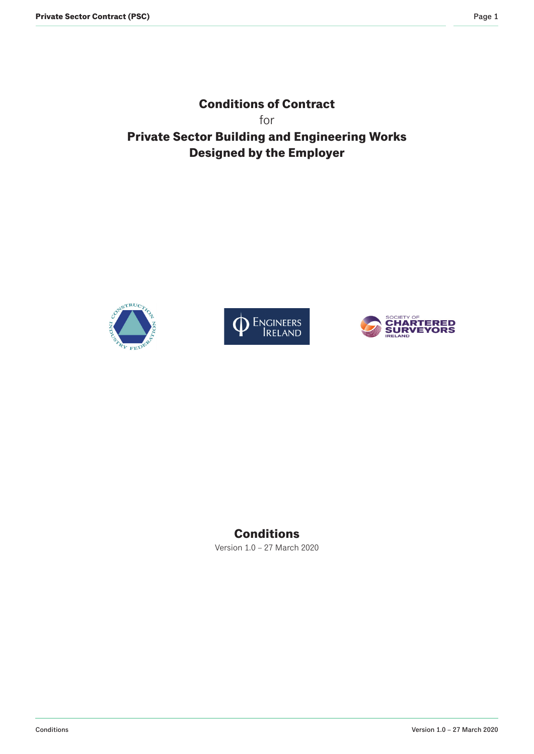**Conditions of Contract** for **Private Sector Building and Engineering Works Designed by the Employer**







# **Conditions**

Version 1.0 – 27 March 2020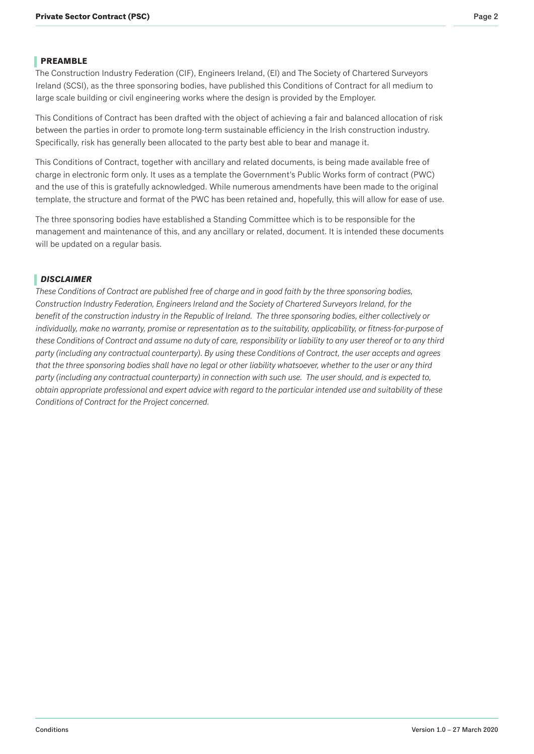<span id="page-1-0"></span>The Construction Industry Federation (CIF), Engineers Ireland, (EI) and The Society of Chartered Surveyors Ireland (SCSI), as the three sponsoring bodies, have published this Conditions of Contract for all medium to large scale building or civil engineering works where the design is provided by the Employer.

This Conditions of Contract has been drafted with the object of achieving a fair and balanced allocation of risk between the parties in order to promote long-term sustainable efficiency in the Irish construction industry. Specifically, risk has generally been allocated to the party best able to bear and manage it.

This Conditions of Contract, together with ancillary and related documents, is being made available free of charge in electronic form only. It uses as a template the Government's Public Works form of contract (PWC) and the use of this is gratefully acknowledged. While numerous amendments have been made to the original template, the structure and format of the PWC has been retained and, hopefully, this will allow for ease of use.

The three sponsoring bodies have established a Standing Committee which is to be responsible for the management and maintenance of this, and any ancillary or related, document. It is intended these documents will be updated on a regular basis.

# *DISCLAIMER*

*These Conditions of Contract are published free of charge and in good faith by the three sponsoring bodies, Construction Industry Federation, Engineers Ireland and the Society of Chartered Surveyors Ireland, for the*  benefit of the construction industry in the Republic of Ireland. The three sponsoring bodies, either collectively or individually, make no warranty, promise or representation as to the suitability, applicability, or fitness-for-purpose of *these Conditions of Contract and assume no duty of care, responsibility or liability to any user thereof or to any third*  party (including any contractual counterparty). By using these Conditions of Contract, the user accepts and agrees *that the three sponsoring bodies shall have no legal or other liability whatsoever, whether to the user or any third*  party (including any contractual counterparty) in connection with such use. The user should, and is expected to, obtain appropriate professional and expert advice with regard to the particular intended use and suitability of these Conditions of Contract for the Project concerned.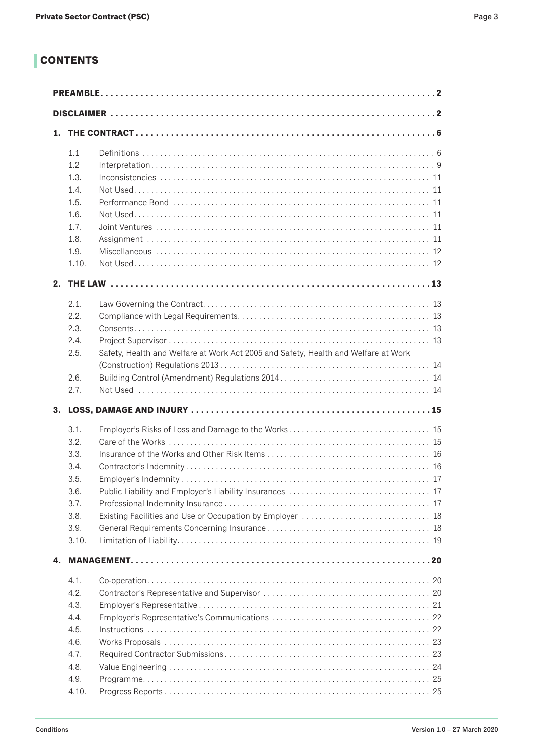# **CONTENTS**

| 1. |       |                                                                                    |
|----|-------|------------------------------------------------------------------------------------|
|    | 1.1   |                                                                                    |
|    | 1.2   |                                                                                    |
|    | 1.3.  | Inconsistencies                                                                    |
|    | 1.4.  |                                                                                    |
|    | 1.5.  |                                                                                    |
|    | 1.6.  |                                                                                    |
|    | 1.7.  |                                                                                    |
|    | 1.8.  |                                                                                    |
|    | 1.9.  |                                                                                    |
|    | 1.10. |                                                                                    |
|    |       |                                                                                    |
|    | 2.1.  |                                                                                    |
|    | 2.2.  |                                                                                    |
|    | 2.3.  |                                                                                    |
|    | 2.4.  |                                                                                    |
|    | 2.5.  | Safety, Health and Welfare at Work Act 2005 and Safety, Health and Welfare at Work |
|    |       |                                                                                    |
|    | 2.6.  |                                                                                    |
|    | 2.7.  |                                                                                    |
|    |       |                                                                                    |
| 3. |       |                                                                                    |
|    | 3.1.  |                                                                                    |
|    | 3.2.  |                                                                                    |
|    | 3.3.  |                                                                                    |
|    | 3.4.  |                                                                                    |
|    | 3.5.  |                                                                                    |
|    | 3.6.  |                                                                                    |
|    | 3.7.  |                                                                                    |
|    | 3.8.  |                                                                                    |
|    | 3.9.  |                                                                                    |
|    | 3.10. |                                                                                    |
| 4. |       |                                                                                    |
|    | 4.1.  |                                                                                    |
|    | 4.2.  |                                                                                    |
|    | 4.3.  |                                                                                    |
|    | 4.4.  |                                                                                    |
|    | 4.5.  |                                                                                    |
|    | 4.6.  |                                                                                    |
|    | 4.7.  |                                                                                    |
|    | 4.8.  |                                                                                    |
|    | 4.9.  |                                                                                    |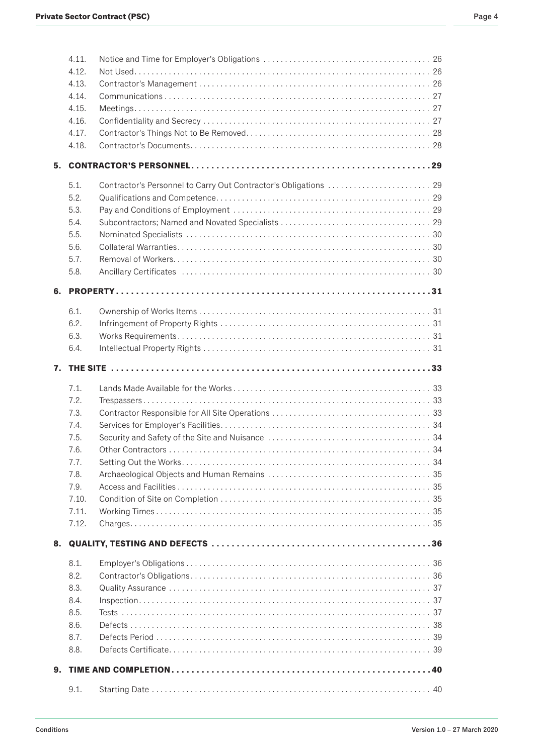|    | 4.11. |  |
|----|-------|--|
|    | 4.12. |  |
|    | 4.13. |  |
|    | 4.14. |  |
|    | 4.15. |  |
|    | 4.16. |  |
|    | 4.17. |  |
|    | 4.18. |  |
| 5. |       |  |
|    | 5.1.  |  |
|    | 5.2.  |  |
|    | 5.3.  |  |
|    | 5.4.  |  |
|    | 5.5.  |  |
|    | 5.6.  |  |
|    | 5.7.  |  |
|    | 5.8.  |  |
| 6. |       |  |
|    | 6.1.  |  |
|    | 6.2.  |  |
|    | 6.3.  |  |
|    | 6.4.  |  |
|    |       |  |
|    |       |  |
|    |       |  |
|    | 7.1.  |  |
|    | 7.2.  |  |
|    | 7.3.  |  |
|    | 7.4.  |  |
|    | 7.5.  |  |
|    | 7.6.  |  |
|    | 7.7.  |  |
|    | 7.8.  |  |
|    | 7.9.  |  |
|    | 7.10. |  |
|    | 7.11. |  |
|    | 7.12. |  |
| 8. |       |  |
|    | 8.1.  |  |
|    | 8.2.  |  |
|    | 8.3.  |  |
|    | 8.4.  |  |
|    | 8.5.  |  |
|    | 8.6.  |  |
|    | 8.7.  |  |
|    | 8.8.  |  |
| 9. |       |  |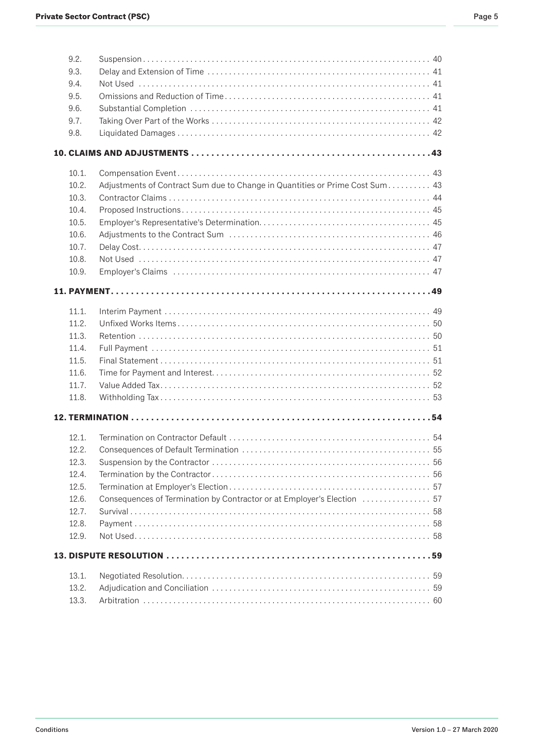| ۰,<br>×<br>۰, | ۰. |
|---------------|----|
|---------------|----|

| 9.2.<br>9.3.<br>9.4.<br>9.5.<br>9.6.                                          |                                                                              |    |
|-------------------------------------------------------------------------------|------------------------------------------------------------------------------|----|
| 9.7.<br>9.8.                                                                  |                                                                              |    |
|                                                                               |                                                                              |    |
| 10.1.<br>10.2.<br>10.3.<br>10.4.<br>10.5.<br>10.6.<br>10.7.<br>10.8.<br>10.9. | Adjustments of Contract Sum due to Change in Quantities or Prime Cost Sum 43 |    |
|                                                                               |                                                                              |    |
| 11.1.<br>11.2.<br>11.3.<br>11.4.<br>11.5.<br>11.6.<br>11.7.<br>11.8.          |                                                                              |    |
|                                                                               |                                                                              |    |
| 12.1.<br>12.2.<br>12.3.<br>12.4.<br>12.5.<br>12.6.<br>12.7.<br>12.8.<br>12.9. | Consequences of Termination by Contractor or at Employer's Election  57      | 55 |
|                                                                               |                                                                              |    |
| 13.1.<br>13.2.<br>13.3.                                                       |                                                                              |    |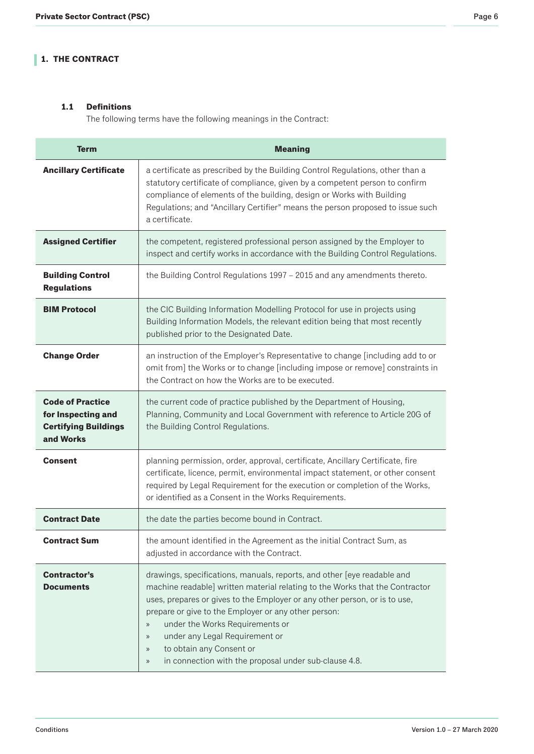# <span id="page-5-0"></span>**1. THE CONTRACT**

# **1.1 Definitions**

The following terms have the following meanings in the Contract:

| <b>Term</b>                                                                               | <b>Meaning</b>                                                                                                                                                                                                                                                                                                                                                                                                                                                                                                                     |
|-------------------------------------------------------------------------------------------|------------------------------------------------------------------------------------------------------------------------------------------------------------------------------------------------------------------------------------------------------------------------------------------------------------------------------------------------------------------------------------------------------------------------------------------------------------------------------------------------------------------------------------|
| <b>Ancillary Certificate</b>                                                              | a certificate as prescribed by the Building Control Regulations, other than a<br>statutory certificate of compliance, given by a competent person to confirm<br>compliance of elements of the building, design or Works with Building<br>Regulations; and "Ancillary Certifier" means the person proposed to issue such<br>a certificate.                                                                                                                                                                                          |
| <b>Assigned Certifier</b>                                                                 | the competent, registered professional person assigned by the Employer to<br>inspect and certify works in accordance with the Building Control Regulations.                                                                                                                                                                                                                                                                                                                                                                        |
| <b>Building Control</b><br><b>Regulations</b>                                             | the Building Control Regulations 1997 - 2015 and any amendments thereto.                                                                                                                                                                                                                                                                                                                                                                                                                                                           |
| <b>BIM Protocol</b>                                                                       | the CIC Building Information Modelling Protocol for use in projects using<br>Building Information Models, the relevant edition being that most recently<br>published prior to the Designated Date.                                                                                                                                                                                                                                                                                                                                 |
| <b>Change Order</b>                                                                       | an instruction of the Employer's Representative to change [including add to or<br>omit from] the Works or to change [including impose or remove] constraints in<br>the Contract on how the Works are to be executed.                                                                                                                                                                                                                                                                                                               |
| <b>Code of Practice</b><br>for Inspecting and<br><b>Certifying Buildings</b><br>and Works | the current code of practice published by the Department of Housing,<br>Planning, Community and Local Government with reference to Article 20G of<br>the Building Control Regulations.                                                                                                                                                                                                                                                                                                                                             |
| <b>Consent</b>                                                                            | planning permission, order, approval, certificate, Ancillary Certificate, fire<br>certificate, licence, permit, environmental impact statement, or other consent<br>required by Legal Requirement for the execution or completion of the Works,<br>or identified as a Consent in the Works Requirements.                                                                                                                                                                                                                           |
| <b>Contract Date</b>                                                                      | the date the parties become bound in Contract.                                                                                                                                                                                                                                                                                                                                                                                                                                                                                     |
| <b>Contract Sum</b>                                                                       | the amount identified in the Agreement as the initial Contract Sum, as<br>adjusted in accordance with the Contract.                                                                                                                                                                                                                                                                                                                                                                                                                |
| <b>Contractor's</b><br><b>Documents</b>                                                   | drawings, specifications, manuals, reports, and other [eye readable and<br>machine readable] written material relating to the Works that the Contractor<br>uses, prepares or gives to the Employer or any other person, or is to use,<br>prepare or give to the Employer or any other person:<br>under the Works Requirements or<br>$\rangle\!\rangle$<br>under any Legal Requirement or<br>$\rangle\!\rangle$<br>to obtain any Consent or<br>$\gg$<br>in connection with the proposal under sub-clause 4.8.<br>$\rangle\!\rangle$ |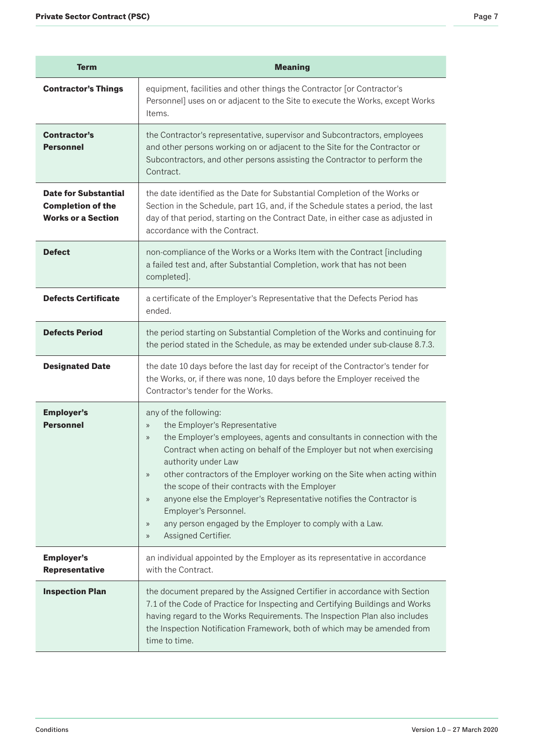| <b>Term</b>                                                                          | <b>Meaning</b>                                                                                                                                                                                                                                                                                                                                                                                                                                                                                                                                                                                                                                                                           |
|--------------------------------------------------------------------------------------|------------------------------------------------------------------------------------------------------------------------------------------------------------------------------------------------------------------------------------------------------------------------------------------------------------------------------------------------------------------------------------------------------------------------------------------------------------------------------------------------------------------------------------------------------------------------------------------------------------------------------------------------------------------------------------------|
| <b>Contractor's Things</b>                                                           | equipment, facilities and other things the Contractor [or Contractor's<br>Personnel] uses on or adjacent to the Site to execute the Works, except Works<br>Items.                                                                                                                                                                                                                                                                                                                                                                                                                                                                                                                        |
| <b>Contractor's</b><br><b>Personnel</b>                                              | the Contractor's representative, supervisor and Subcontractors, employees<br>and other persons working on or adjacent to the Site for the Contractor or<br>Subcontractors, and other persons assisting the Contractor to perform the<br>Contract.                                                                                                                                                                                                                                                                                                                                                                                                                                        |
| <b>Date for Substantial</b><br><b>Completion of the</b><br><b>Works or a Section</b> | the date identified as the Date for Substantial Completion of the Works or<br>Section in the Schedule, part 1G, and, if the Schedule states a period, the last<br>day of that period, starting on the Contract Date, in either case as adjusted in<br>accordance with the Contract.                                                                                                                                                                                                                                                                                                                                                                                                      |
| <b>Defect</b>                                                                        | non-compliance of the Works or a Works Item with the Contract [including<br>a failed test and, after Substantial Completion, work that has not been<br>completed].                                                                                                                                                                                                                                                                                                                                                                                                                                                                                                                       |
| <b>Defects Certificate</b>                                                           | a certificate of the Employer's Representative that the Defects Period has<br>ended.                                                                                                                                                                                                                                                                                                                                                                                                                                                                                                                                                                                                     |
| <b>Defects Period</b>                                                                | the period starting on Substantial Completion of the Works and continuing for<br>the period stated in the Schedule, as may be extended under sub-clause 8.7.3.                                                                                                                                                                                                                                                                                                                                                                                                                                                                                                                           |
| <b>Designated Date</b>                                                               | the date 10 days before the last day for receipt of the Contractor's tender for<br>the Works, or, if there was none, 10 days before the Employer received the<br>Contractor's tender for the Works.                                                                                                                                                                                                                                                                                                                                                                                                                                                                                      |
| <b>Employer's</b><br><b>Personnel</b>                                                | any of the following:<br>the Employer's Representative<br>$\rangle\!\rangle$<br>the Employer's employees, agents and consultants in connection with the<br>$\rangle\!\rangle$<br>Contract when acting on behalf of the Employer but not when exercising<br>authority under Law<br>other contractors of the Employer working on the Site when acting within<br>$\rangle\!\rangle$<br>the scope of their contracts with the Employer<br>anyone else the Employer's Representative notifies the Contractor is<br>$\rangle\!\rangle$<br>Employer's Personnel.<br>any person engaged by the Employer to comply with a Law.<br>$\rangle\!\rangle$<br>Assigned Certifier.<br>$\rangle\!\rangle$ |
| <b>Employer's</b><br><b>Representative</b>                                           | an individual appointed by the Employer as its representative in accordance<br>with the Contract.                                                                                                                                                                                                                                                                                                                                                                                                                                                                                                                                                                                        |
| <b>Inspection Plan</b>                                                               | the document prepared by the Assigned Certifier in accordance with Section<br>7.1 of the Code of Practice for Inspecting and Certifying Buildings and Works<br>having regard to the Works Requirements. The Inspection Plan also includes<br>the Inspection Notification Framework, both of which may be amended from<br>time to time.                                                                                                                                                                                                                                                                                                                                                   |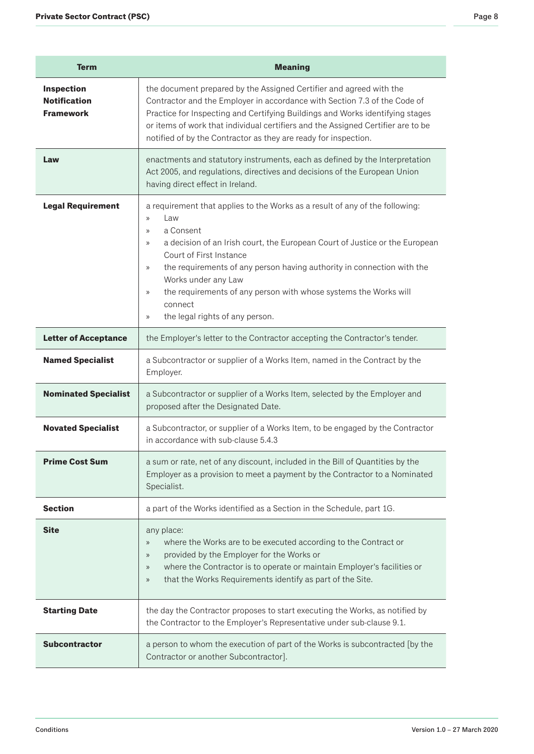| <b>Term</b>                                           | <b>Meaning</b>                                                                                                                                                                                                                                                                                                                                                                                                                                                                                                       |
|-------------------------------------------------------|----------------------------------------------------------------------------------------------------------------------------------------------------------------------------------------------------------------------------------------------------------------------------------------------------------------------------------------------------------------------------------------------------------------------------------------------------------------------------------------------------------------------|
| Inspection<br><b>Notification</b><br><b>Framework</b> | the document prepared by the Assigned Certifier and agreed with the<br>Contractor and the Employer in accordance with Section 7.3 of the Code of<br>Practice for Inspecting and Certifying Buildings and Works identifying stages<br>or items of work that individual certifiers and the Assigned Certifier are to be<br>notified of by the Contractor as they are ready for inspection.                                                                                                                             |
| Law                                                   | enactments and statutory instruments, each as defined by the Interpretation<br>Act 2005, and regulations, directives and decisions of the European Union<br>having direct effect in Ireland.                                                                                                                                                                                                                                                                                                                         |
| <b>Legal Requirement</b>                              | a requirement that applies to the Works as a result of any of the following:<br>Law<br>$\rangle$<br>a Consent<br>$\rightarrow$<br>a decision of an Irish court, the European Court of Justice or the European<br>$\gg$<br>Court of First Instance<br>the requirements of any person having authority in connection with the<br>$\rangle$<br>Works under any Law<br>the requirements of any person with whose systems the Works will<br>$\rangle$<br>connect<br>the legal rights of any person.<br>$\rangle\!\rangle$ |
| <b>Letter of Acceptance</b>                           | the Employer's letter to the Contractor accepting the Contractor's tender.                                                                                                                                                                                                                                                                                                                                                                                                                                           |
| <b>Named Specialist</b>                               | a Subcontractor or supplier of a Works Item, named in the Contract by the<br>Employer.                                                                                                                                                                                                                                                                                                                                                                                                                               |
| <b>Nominated Specialist</b>                           | a Subcontractor or supplier of a Works Item, selected by the Employer and<br>proposed after the Designated Date.                                                                                                                                                                                                                                                                                                                                                                                                     |
| <b>Novated Specialist</b>                             | a Subcontractor, or supplier of a Works Item, to be engaged by the Contractor<br>in accordance with sub-clause 5.4.3                                                                                                                                                                                                                                                                                                                                                                                                 |
| <b>Prime Cost Sum</b>                                 | a sum or rate, net of any discount, included in the Bill of Quantities by the<br>Employer as a provision to meet a payment by the Contractor to a Nominated<br>Specialist.                                                                                                                                                                                                                                                                                                                                           |
| <b>Section</b>                                        | a part of the Works identified as a Section in the Schedule, part 1G.                                                                                                                                                                                                                                                                                                                                                                                                                                                |
| <b>Site</b>                                           | any place:<br>where the Works are to be executed according to the Contract or<br>$\rangle\!\rangle$<br>provided by the Employer for the Works or<br>$\rangle\!\rangle$<br>where the Contractor is to operate or maintain Employer's facilities or<br>$\rangle\!\rangle$<br>that the Works Requirements identify as part of the Site.<br>$\rangle\!\rangle$                                                                                                                                                           |
| <b>Starting Date</b>                                  | the day the Contractor proposes to start executing the Works, as notified by<br>the Contractor to the Employer's Representative under sub-clause 9.1.                                                                                                                                                                                                                                                                                                                                                                |
| <b>Subcontractor</b>                                  | a person to whom the execution of part of the Works is subcontracted [by the<br>Contractor or another Subcontractor].                                                                                                                                                                                                                                                                                                                                                                                                |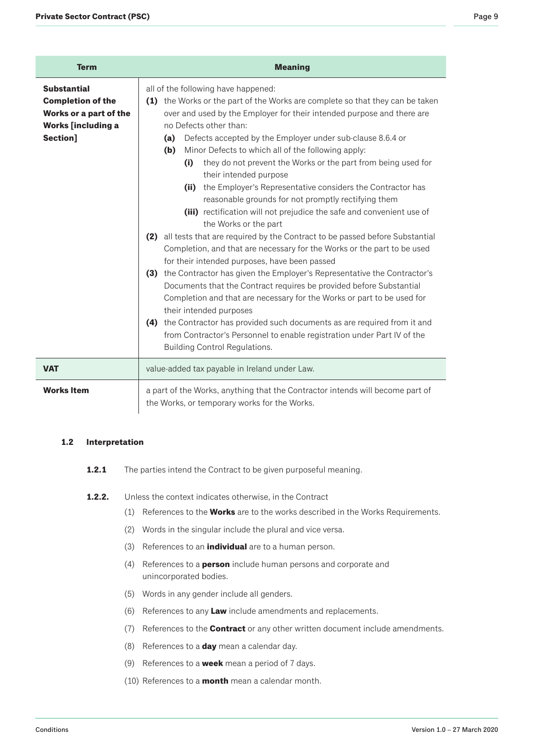<span id="page-8-0"></span>

| <b>Term</b>                                                                                                       | <b>Meaning</b>                                                                                                                                                                                                                                                                                                                                                                                                                                                                                                                                                                                                                                                                                                                                                                                                                                                                                                                                                                                                                                                                                                                                                                                                                                                                                                                                                         |
|-------------------------------------------------------------------------------------------------------------------|------------------------------------------------------------------------------------------------------------------------------------------------------------------------------------------------------------------------------------------------------------------------------------------------------------------------------------------------------------------------------------------------------------------------------------------------------------------------------------------------------------------------------------------------------------------------------------------------------------------------------------------------------------------------------------------------------------------------------------------------------------------------------------------------------------------------------------------------------------------------------------------------------------------------------------------------------------------------------------------------------------------------------------------------------------------------------------------------------------------------------------------------------------------------------------------------------------------------------------------------------------------------------------------------------------------------------------------------------------------------|
| <b>Substantial</b><br><b>Completion of the</b><br>Works or a part of the<br><b>Works [including a</b><br>Section] | all of the following have happened:<br>(1) the Works or the part of the Works are complete so that they can be taken<br>over and used by the Employer for their intended purpose and there are<br>no Defects other than:<br>Defects accepted by the Employer under sub-clause 8.6.4 or<br>(a)<br>Minor Defects to which all of the following apply:<br>(b)<br>they do not prevent the Works or the part from being used for<br>(i)<br>their intended purpose<br>the Employer's Representative considers the Contractor has<br>(ii)<br>reasonable grounds for not promptly rectifying them<br>(iii) rectification will not prejudice the safe and convenient use of<br>the Works or the part<br>(2) all tests that are required by the Contract to be passed before Substantial<br>Completion, and that are necessary for the Works or the part to be used<br>for their intended purposes, have been passed<br>(3) the Contractor has given the Employer's Representative the Contractor's<br>Documents that the Contract requires be provided before Substantial<br>Completion and that are necessary for the Works or part to be used for<br>their intended purposes<br>(4) the Contractor has provided such documents as are required from it and<br>from Contractor's Personnel to enable registration under Part IV of the<br><b>Building Control Regulations.</b> |
| <b>VAT</b>                                                                                                        | value-added tax payable in Ireland under Law.                                                                                                                                                                                                                                                                                                                                                                                                                                                                                                                                                                                                                                                                                                                                                                                                                                                                                                                                                                                                                                                                                                                                                                                                                                                                                                                          |
| <b>Works Item</b>                                                                                                 | a part of the Works, anything that the Contractor intends will become part of<br>the Works, or temporary works for the Works.                                                                                                                                                                                                                                                                                                                                                                                                                                                                                                                                                                                                                                                                                                                                                                                                                                                                                                                                                                                                                                                                                                                                                                                                                                          |

## **1.2 Interpretation**

- **1.2.1** The parties intend the Contract to be given purposeful meaning.
- **1.2.2.** Unless the context indicates otherwise, in the Contract
	- (1) References to the **Works** are to the works described in the Works Requirements.
	- (2) Words in the singular include the plural and vice versa.
	- (3) References to an **individual** are to a human person.
	- (4) References to a **person** include human persons and corporate and unincorporated bodies.
	- (5) Words in any gender include all genders.
	- (6) References to any **Law** include amendments and replacements.
	- (7) References to the **Contract** or any other written document include amendments.
	- (8) References to a **day** mean a calendar day.
	- (9) References to a **week** mean a period of 7 days.
	- (10) References to a **month** mean a calendar month.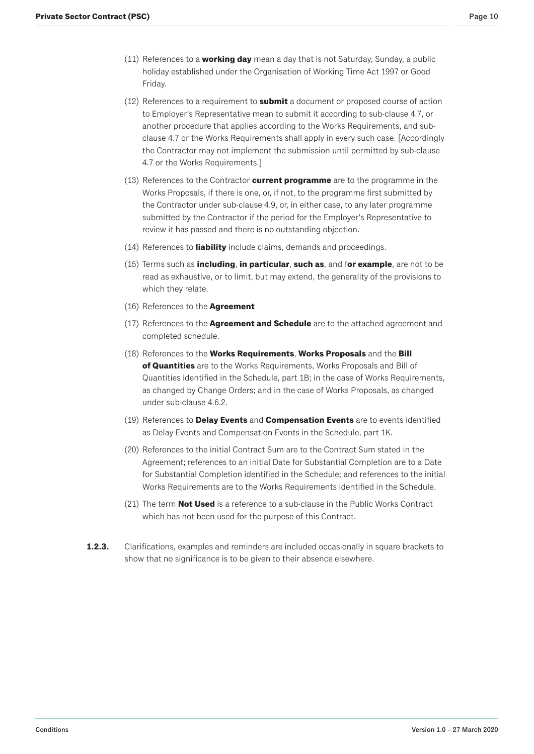- (11) References to a **working day** mean a day that is not Saturday, Sunday, a public holiday established under the Organisation of Working Time Act 1997 or Good Friday.
- (12) References to a requirement to **submit** a document or proposed course of action to Employer's Representative mean to submit it according to sub-clause 4.7, or another procedure that applies according to the Works Requirements, and subclause 4.7 or the Works Requirements shall apply in every such case. [Accordingly the Contractor may not implement the submission until permitted by sub-clause 4.7 or the Works Requirements.]
- (13) References to the Contractor **current programme** are to the programme in the Works Proposals, if there is one, or, if not, to the programme first submitted by the Contractor under sub-clause 4.9, or, in either case, to any later programme submitted by the Contractor if the period for the Employer's Representative to review it has passed and there is no outstanding objection.
- (14) References to **liability** include claims, demands and proceedings.
- (15) Terms such as **including**, **in particular**, **such as**, and f**or example**, are not to be read as exhaustive, or to limit, but may extend, the generality of the provisions to which they relate.
- (16) References to the **Agreement**
- (17) References to the **Agreement and Schedule** are to the attached agreement and completed schedule.
- (18) References to the **Works Requirements**, **Works Proposals** and the **Bill of Quantities** are to the Works Requirements, Works Proposals and Bill of Quantities identified in the Schedule, part 1B; in the case of Works Requirements, as changed by Change Orders; and in the case of Works Proposals, as changed under sub-clause 4.6.2.
- (19) References to **Delay Events** and **Compensation Events** are to events identified as Delay Events and Compensation Events in the Schedule, part 1K.
- (20) References to the initial Contract Sum are to the Contract Sum stated in the Agreement; references to an initial Date for Substantial Completion are to a Date for Substantial Completion identified in the Schedule; and references to the initial Works Requirements are to the Works Requirements identified in the Schedule.
- (21) The term **Not Used** is a reference to a sub-clause in the Public Works Contract which has not been used for the purpose of this Contract.
- **1.2.3.** Clarifications, examples and reminders are included occasionally in square brackets to show that no significance is to be given to their absence elsewhere.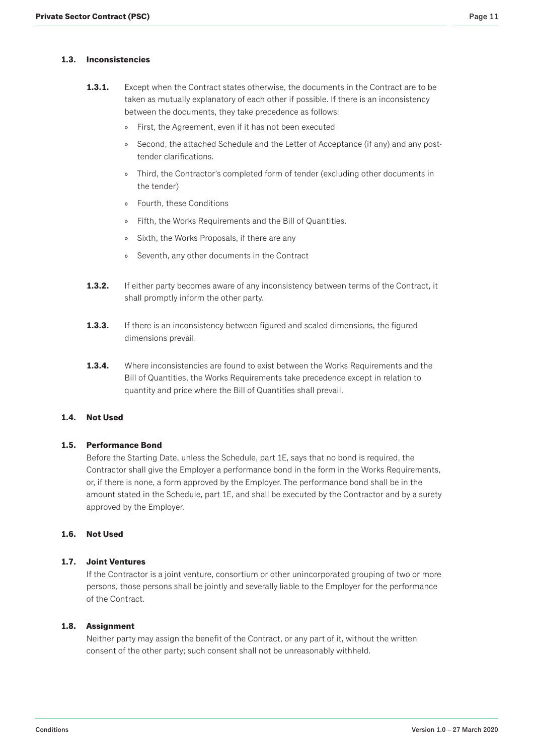### <span id="page-10-0"></span>**1.3. Inconsistencies**

- **1.3.1.** Except when the Contract states otherwise, the documents in the Contract are to be taken as mutually explanatory of each other if possible. If there is an inconsistency between the documents, they take precedence as follows:
	- » First, the Agreement, even if it has not been executed
	- » Second, the attached Schedule and the Letter of Acceptance (if any) and any posttender clarifications.
	- » Third, the Contractor's completed form of tender (excluding other documents in the tender)
	- » Fourth, these Conditions
	- » Fifth, the Works Requirements and the Bill of Quantities.
	- » Sixth, the Works Proposals, if there are any
	- » Seventh, any other documents in the Contract
- **1.3.2.** If either party becomes aware of any inconsistency between terms of the Contract, it shall promptly inform the other party.
- **1.3.3.** If there is an inconsistency between figured and scaled dimensions, the figured dimensions prevail.
- **1.3.4.** Where inconsistencies are found to exist between the Works Requirements and the Bill of Quantities, the Works Requirements take precedence except in relation to quantity and price where the Bill of Quantities shall prevail.

# **1.4. Not Used**

#### **1.5. Performance Bond**

Before the Starting Date, unless the Schedule, part 1E, says that no bond is required, the Contractor shall give the Employer a performance bond in the form in the Works Requirements, or, if there is none, a form approved by the Employer. The performance bond shall be in the amount stated in the Schedule, part 1E, and shall be executed by the Contractor and by a surety approved by the Employer.

# **1.6. Not Used**

#### **1.7. Joint Ventures**

If the Contractor is a joint venture, consortium or other unincorporated grouping of two or more persons, those persons shall be jointly and severally liable to the Employer for the performance of the Contract.

#### **1.8. Assignment**

Neither party may assign the benefit of the Contract, or any part of it, without the written consent of the other party; such consent shall not be unreasonably withheld.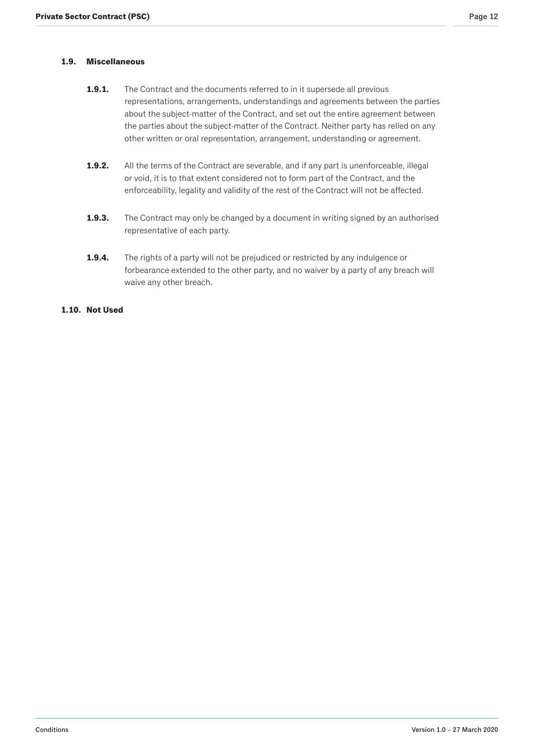# <span id="page-11-0"></span>**1.9. Miscellaneous**

- **1.9.1.** The Contract and the documents referred to in it supersede all previous representations, arrangements, understandings and agreements between the parties about the subject-matter of the Contract, and set out the entire agreement between the parties about the subject-matter of the Contract. Neither party has relied on any other written or oral representation, arrangement, understanding or agreement.
- **1.9.2.** All the terms of the Contract are severable, and if any part is unenforceable, illegal or void, it is to that extent considered not to form part of the Contract, and the enforceability, legality and validity of the rest of the Contract will not be affected.
- **1.9.3.** The Contract may only be changed by a document in writing signed by an authorised representative of each party.
- **1.9.4.** The rights of a party will not be prejudiced or restricted by any indulgence or forbearance extended to the other party, and no waiver by a party of any breach will waive any other breach.

# **1.10. Not Used**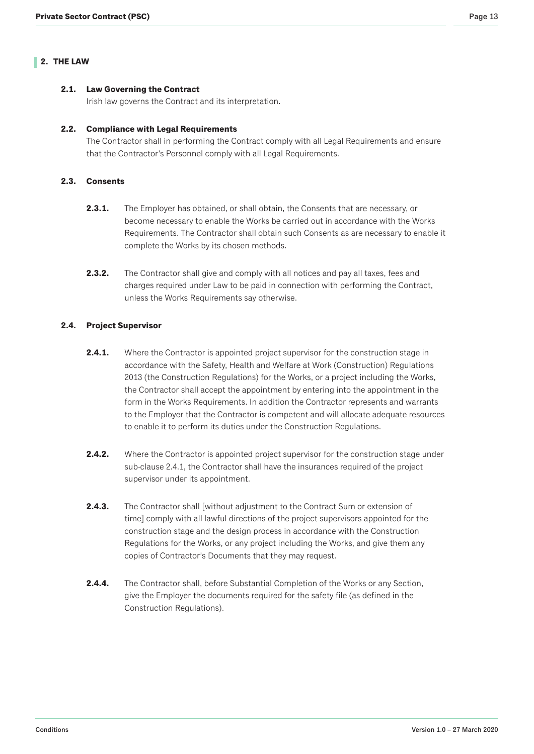### <span id="page-12-0"></span>**2.1. Law Governing the Contract**

Irish law governs the Contract and its interpretation.

### **2.2. Compliance with Legal Requirements**

The Contractor shall in performing the Contract comply with all Legal Requirements and ensure that the Contractor's Personnel comply with all Legal Requirements.

# **2.3. Consents**

- **2.3.1.** The Employer has obtained, or shall obtain, the Consents that are necessary, or become necessary to enable the Works be carried out in accordance with the Works Requirements. The Contractor shall obtain such Consents as are necessary to enable it complete the Works by its chosen methods.
- **2.3.2.** The Contractor shall give and comply with all notices and pay all taxes, fees and charges required under Law to be paid in connection with performing the Contract, unless the Works Requirements say otherwise.

# **2.4. Project Supervisor**

- **2.4.1.** Where the Contractor is appointed project supervisor for the construction stage in accordance with the Safety, Health and Welfare at Work (Construction) Regulations 2013 (the Construction Regulations) for the Works, or a project including the Works, the Contractor shall accept the appointment by entering into the appointment in the form in the Works Requirements. In addition the Contractor represents and warrants to the Employer that the Contractor is competent and will allocate adequate resources to enable it to perform its duties under the Construction Regulations.
- **2.4.2.** Where the Contractor is appointed project supervisor for the construction stage under sub-clause 2.4.1, the Contractor shall have the insurances required of the project supervisor under its appointment.
- **2.4.3.** The Contractor shall [without adjustment to the Contract Sum or extension of time] comply with all lawful directions of the project supervisors appointed for the construction stage and the design process in accordance with the Construction Regulations for the Works, or any project including the Works, and give them any copies of Contractor's Documents that they may request.
- **2.4.4.** The Contractor shall, before Substantial Completion of the Works or any Section, give the Employer the documents required for the safety file (as defined in the Construction Regulations).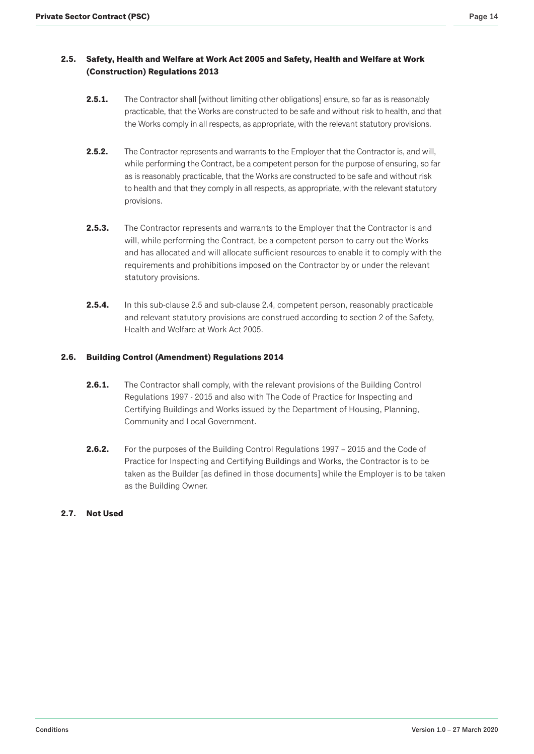# <span id="page-13-0"></span>**2.5. Safety, Health and Welfare at Work Act 2005 and Safety, Health and Welfare at Work (Construction) Regulations 2013**

- **2.5.1.** The Contractor shall [without limiting other obligations] ensure, so far as is reasonably practicable, that the Works are constructed to be safe and without risk to health, and that the Works comply in all respects, as appropriate, with the relevant statutory provisions.
- **2.5.2.** The Contractor represents and warrants to the Employer that the Contractor is, and will, while performing the Contract, be a competent person for the purpose of ensuring, so far as is reasonably practicable, that the Works are constructed to be safe and without risk to health and that they comply in all respects, as appropriate, with the relevant statutory provisions.
- **2.5.3.** The Contractor represents and warrants to the Employer that the Contractor is and will, while performing the Contract, be a competent person to carry out the Works and has allocated and will allocate sufficient resources to enable it to comply with the requirements and prohibitions imposed on the Contractor by or under the relevant statutory provisions.
- **2.5.4.** In this sub-clause 2.5 and sub-clause 2.4, competent person, reasonably practicable and relevant statutory provisions are construed according to section 2 of the Safety, Health and Welfare at Work Act 2005.

# **2.6. Building Control (Amendment) Regulations 2014**

- **2.6.1.** The Contractor shall comply, with the relevant provisions of the Building Control Regulations 1997 - 2015 and also with The Code of Practice for Inspecting and Certifying Buildings and Works issued by the Department of Housing, Planning, Community and Local Government.
- **2.6.2.** For the purposes of the Building Control Regulations 1997 2015 and the Code of Practice for Inspecting and Certifying Buildings and Works, the Contractor is to be taken as the Builder [as defined in those documents] while the Employer is to be taken as the Building Owner.

# **2.7. Not Used**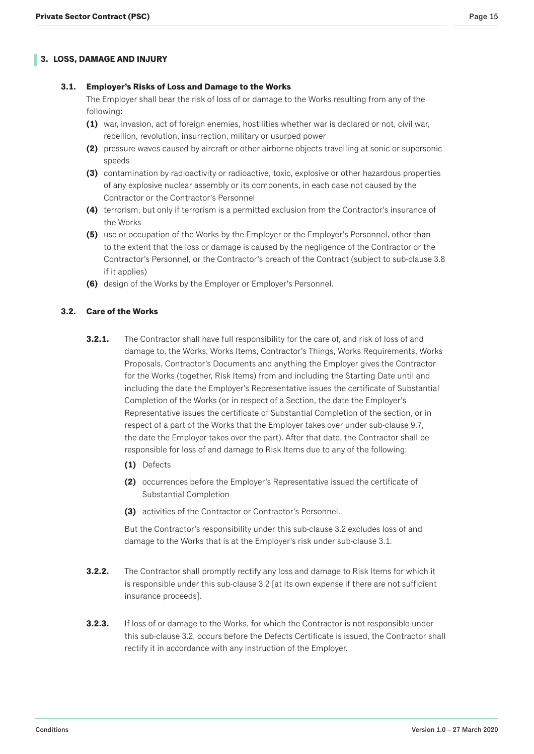# <span id="page-14-0"></span>**3. LOSS, DAMAGE AND INJURY**

### **3.1. Employer's Risks of Loss and Damage to the Works**

The Employer shall bear the risk of loss of or damage to the Works resulting from any of the following:

- **(1)** war, invasion, act of foreign enemies, hostilities whether war is declared or not, civil war, rebellion, revolution, insurrection, military or usurped power
- **(2)** pressure waves caused by aircraft or other airborne objects travelling at sonic or supersonic speeds
- **(3)** contamination by radioactivity or radioactive, toxic, explosive or other hazardous properties of any explosive nuclear assembly or its components, in each case not caused by the Contractor or the Contractor's Personnel
- **(4)** terrorism, but only if terrorism is a permitted exclusion from the Contractor's insurance of the Works
- **(5)** use or occupation of the Works by the Employer or the Employer's Personnel, other than to the extent that the loss or damage is caused by the negligence of the Contractor or the Contractor's Personnel, or the Contractor's breach of the Contract (subject to sub-clause 3.8 if it applies)
- **(6)** design of the Works by the Employer or Employer's Personnel.

# **3.2. Care of the Works**

- **3.2.1.** The Contractor shall have full responsibility for the care of, and risk of loss of and damage to, the Works, Works Items, Contractor's Things, Works Requirements, Works Proposals, Contractor's Documents and anything the Employer gives the Contractor for the Works (together, Risk Items) from and including the Starting Date until and including the date the Employer's Representative issues the certificate of Substantial Completion of the Works (or in respect of a Section, the date the Employer's Representative issues the certificate of Substantial Completion of the section, or in respect of a part of the Works that the Employer takes over under sub-clause 9.7, the date the Employer takes over the part). After that date, the Contractor shall be responsible for loss of and damage to Risk Items due to any of the following:
	- **(1)** Defects
	- **(2)** occurrences before the Employer's Representative issued the certificate of Substantial Completion
	- **(3)** activities of the Contractor or Contractor's Personnel.

But the Contractor's responsibility under this sub-clause 3.2 excludes loss of and damage to the Works that is at the Employer's risk under sub-clause 3.1.

- **3.2.2.** The Contractor shall promptly rectify any loss and damage to Risk Items for which it is responsible under this sub-clause 3.2 [at its own expense if there are not sufficient insurance proceeds].
- **3.2.3.** If loss of or damage to the Works, for which the Contractor is not responsible under this sub-clause 3.2, occurs before the Defects Certificate is issued, the Contractor shall rectify it in accordance with any instruction of the Employer.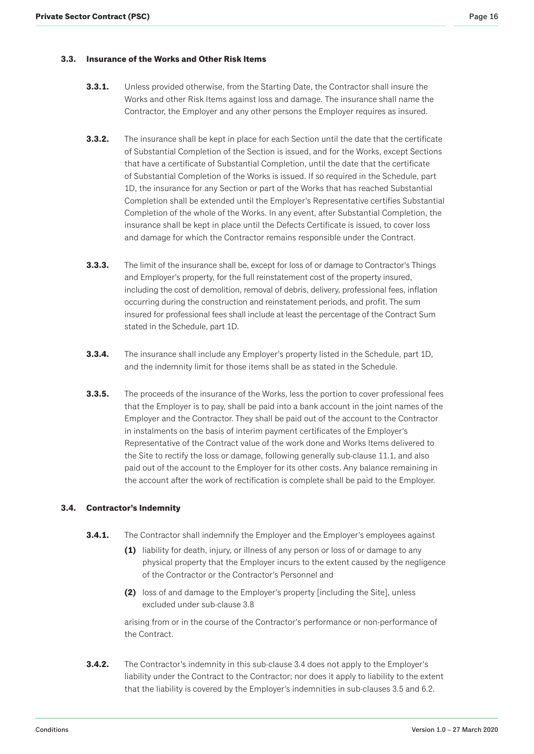## <span id="page-15-0"></span>**3.3. Insurance of the Works and Other Risk Items**

- **3.3.1.** Unless provided otherwise, from the Starting Date, the Contractor shall insure the Works and other Risk Items against loss and damage. The insurance shall name the Contractor, the Employer and any other persons the Employer requires as insured.
- **3.3.2.** The insurance shall be kept in place for each Section until the date that the certificate of Substantial Completion of the Section is issued, and for the Works, except Sections that have a certificate of Substantial Completion, until the date that the certificate of Substantial Completion of the Works is issued. If so required in the Schedule, part 1D, the insurance for any Section or part of the Works that has reached Substantial Completion shall be extended until the Employer's Representative certifies Substantial Completion of the whole of the Works. In any event, after Substantial Completion, the insurance shall be kept in place until the Defects Certificate is issued, to cover loss and damage for which the Contractor remains responsible under the Contract.
- **3.3.3.** The limit of the insurance shall be, except for loss of or damage to Contractor's Things and Employer's property, for the full reinstatement cost of the property insured, including the cost of demolition, removal of debris, delivery, professional fees, inflation occurring during the construction and reinstatement periods, and profit. The sum insured for professional fees shall include at least the percentage of the Contract Sum stated in the Schedule, part 1D.
- **3.3.4.** The insurance shall include any Employer's property listed in the Schedule, part 1D, and the indemnity limit for those items shall be as stated in the Schedule.
- **3.3.5.** The proceeds of the insurance of the Works, less the portion to cover professional fees that the Employer is to pay, shall be paid into a bank account in the joint names of the Employer and the Contractor. They shall be paid out of the account to the Contractor in instalments on the basis of interim payment certificates of the Employer's Representative of the Contract value of the work done and Works Items delivered to the Site to rectify the loss or damage, following generally sub-clause 11.1, and also paid out of the account to the Employer for its other costs. Any balance remaining in the account after the work of rectification is complete shall be paid to the Employer.

### **3.4. Contractor's Indemnity**

- **3.4.1.** The Contractor shall indemnify the Employer and the Employer's employees against
	- **(1)** liability for death, injury, or illness of any person or loss of or damage to any physical property that the Employer incurs to the extent caused by the negligence of the Contractor or the Contractor's Personnel and
	- **(2)** loss of and damage to the Employer's property [including the Site], unless excluded under sub-clause 3.8

arising from or in the course of the Contractor's performance or non-performance of the Contract.

**3.4.2.** The Contractor's indemnity in this sub-clause 3.4 does not apply to the Employer's liability under the Contract to the Contractor; nor does it apply to liability to the extent that the liability is covered by the Employer's indemnities in sub-clauses 3.5 and 6.2.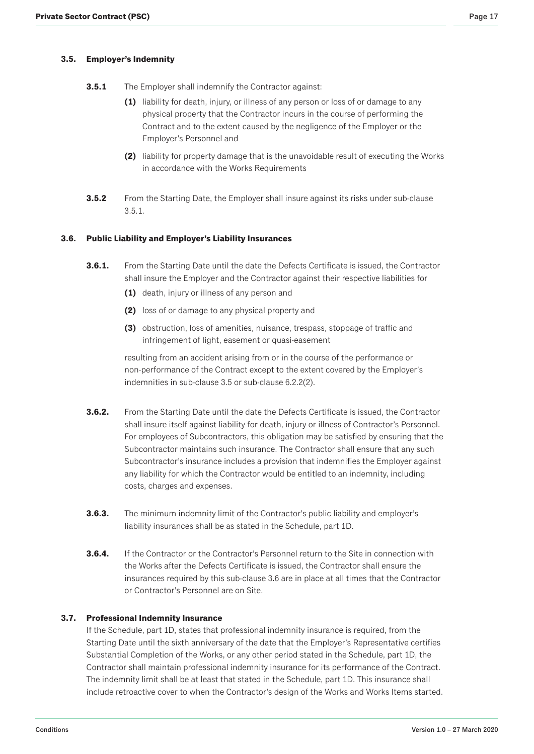# <span id="page-16-0"></span>**3.5. Employer's Indemnity**

- **3.5.1** The Employer shall indemnify the Contractor against:
	- **(1)** liability for death, injury, or illness of any person or loss of or damage to any physical property that the Contractor incurs in the course of performing the Contract and to the extent caused by the negligence of the Employer or the Employer's Personnel and
	- **(2)** liability for property damage that is the unavoidable result of executing the Works in accordance with the Works Requirements
- **3.5.2** From the Starting Date, the Employer shall insure against its risks under sub-clause 3.5.1.

# **3.6. Public Liability and Employer's Liability Insurances**

- **3.6.1.** From the Starting Date until the date the Defects Certificate is issued, the Contractor shall insure the Employer and the Contractor against their respective liabilities for
	- **(1)** death, injury or illness of any person and
	- **(2)** loss of or damage to any physical property and
	- **(3)** obstruction, loss of amenities, nuisance, trespass, stoppage of traffic and infringement of light, easement or quasi-easement

resulting from an accident arising from or in the course of the performance or non-performance of the Contract except to the extent covered by the Employer's indemnities in sub-clause 3.5 or sub-clause 6.2.2(2).

- **3.6.2.** From the Starting Date until the date the Defects Certificate is issued, the Contractor shall insure itself against liability for death, injury or illness of Contractor's Personnel. For employees of Subcontractors, this obligation may be satisfied by ensuring that the Subcontractor maintains such insurance. The Contractor shall ensure that any such Subcontractor's insurance includes a provision that indemnifies the Employer against any liability for which the Contractor would be entitled to an indemnity, including costs, charges and expenses.
- **3.6.3.** The minimum indemnity limit of the Contractor's public liability and employer's liability insurances shall be as stated in the Schedule, part 1D.
- **3.6.4.** If the Contractor or the Contractor's Personnel return to the Site in connection with the Works after the Defects Certificate is issued, the Contractor shall ensure the insurances required by this sub-clause 3.6 are in place at all times that the Contractor or Contractor's Personnel are on Site.

### **3.7. Professional Indemnity Insurance**

If the Schedule, part 1D, states that professional indemnity insurance is required, from the Starting Date until the sixth anniversary of the date that the Employer's Representative certifies Substantial Completion of the Works, or any other period stated in the Schedule, part 1D, the Contractor shall maintain professional indemnity insurance for its performance of the Contract. The indemnity limit shall be at least that stated in the Schedule, part 1D. This insurance shall include retroactive cover to when the Contractor's design of the Works and Works Items started.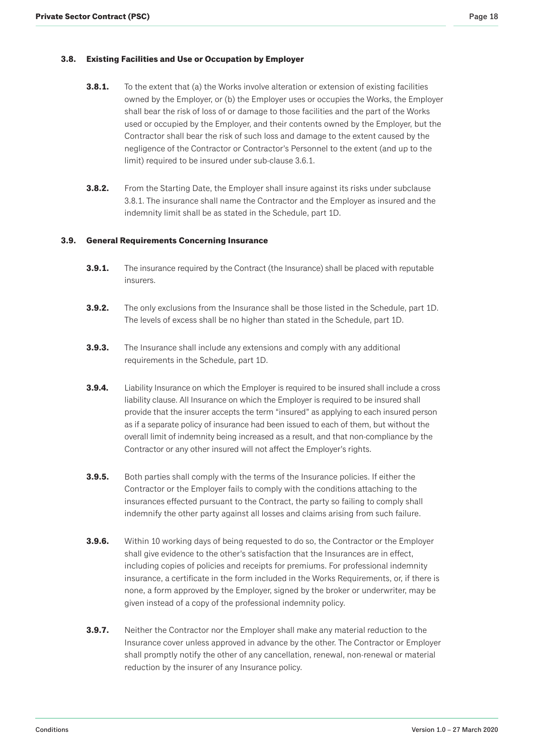# <span id="page-17-0"></span>**3.8. Existing Facilities and Use or Occupation by Employer**

- **3.8.1.** To the extent that (a) the Works involve alteration or extension of existing facilities owned by the Employer, or (b) the Employer uses or occupies the Works, the Employer shall bear the risk of loss of or damage to those facilities and the part of the Works used or occupied by the Employer, and their contents owned by the Employer, but the Contractor shall bear the risk of such loss and damage to the extent caused by the negligence of the Contractor or Contractor's Personnel to the extent (and up to the limit) required to be insured under sub-clause 3.6.1.
- **3.8.2.** From the Starting Date, the Employer shall insure against its risks under subclause 3.8.1. The insurance shall name the Contractor and the Employer as insured and the indemnity limit shall be as stated in the Schedule, part 1D.

### **3.9. General Requirements Concerning Insurance**

- **3.9.1.** The insurance required by the Contract (the Insurance) shall be placed with reputable insurers.
- **3.9.2.** The only exclusions from the Insurance shall be those listed in the Schedule, part 1D. The levels of excess shall be no higher than stated in the Schedule, part 1D.
- **3.9.3.** The Insurance shall include any extensions and comply with any additional requirements in the Schedule, part 1D.
- **3.9.4.** Liability Insurance on which the Employer is required to be insured shall include a cross liability clause. All Insurance on which the Employer is required to be insured shall provide that the insurer accepts the term "insured" as applying to each insured person as if a separate policy of insurance had been issued to each of them, but without the overall limit of indemnity being increased as a result, and that non-compliance by the Contractor or any other insured will not affect the Employer's rights.
- **3.9.5.** Both parties shall comply with the terms of the Insurance policies. If either the Contractor or the Employer fails to comply with the conditions attaching to the insurances effected pursuant to the Contract, the party so failing to comply shall indemnify the other party against all losses and claims arising from such failure.
- **3.9.6.** Within 10 working days of being requested to do so, the Contractor or the Employer shall give evidence to the other's satisfaction that the Insurances are in effect, including copies of policies and receipts for premiums. For professional indemnity insurance, a certificate in the form included in the Works Requirements, or, if there is none, a form approved by the Employer, signed by the broker or underwriter, may be given instead of a copy of the professional indemnity policy.
- **3.9.7.** Neither the Contractor nor the Employer shall make any material reduction to the Insurance cover unless approved in advance by the other. The Contractor or Employer shall promptly notify the other of any cancellation, renewal, non-renewal or material reduction by the insurer of any Insurance policy.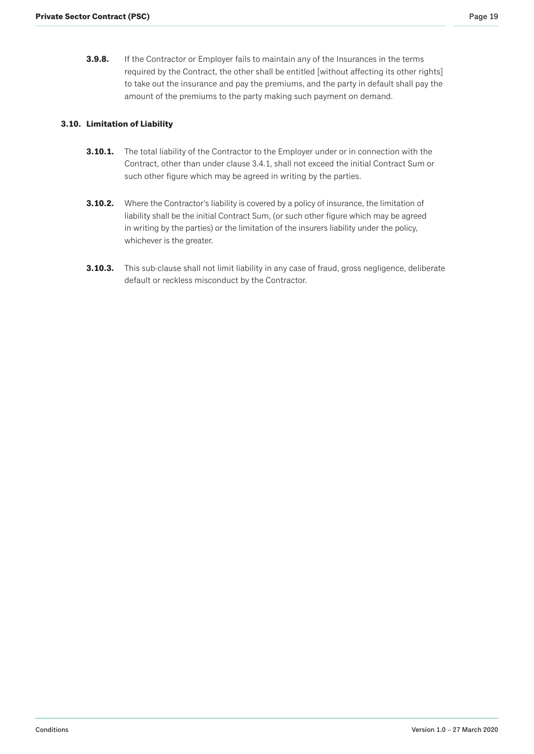<span id="page-18-0"></span>**3.9.8.** If the Contractor or Employer fails to maintain any of the Insurances in the terms required by the Contract, the other shall be entitled [without affecting its other rights] to take out the insurance and pay the premiums, and the party in default shall pay the amount of the premiums to the party making such payment on demand.

# **3.10. Limitation of Liability**

- **3.10.1.** The total liability of the Contractor to the Employer under or in connection with the Contract, other than under clause 3.4.1, shall not exceed the initial Contract Sum or such other figure which may be agreed in writing by the parties.
- **3.10.2.** Where the Contractor's liability is covered by a policy of insurance, the limitation of liability shall be the initial Contract Sum, (or such other figure which may be agreed in writing by the parties) or the limitation of the insurers liability under the policy, whichever is the greater.
- **3.10.3.** This sub-clause shall not limit liability in any case of fraud, gross negligence, deliberate default or reckless misconduct by the Contractor.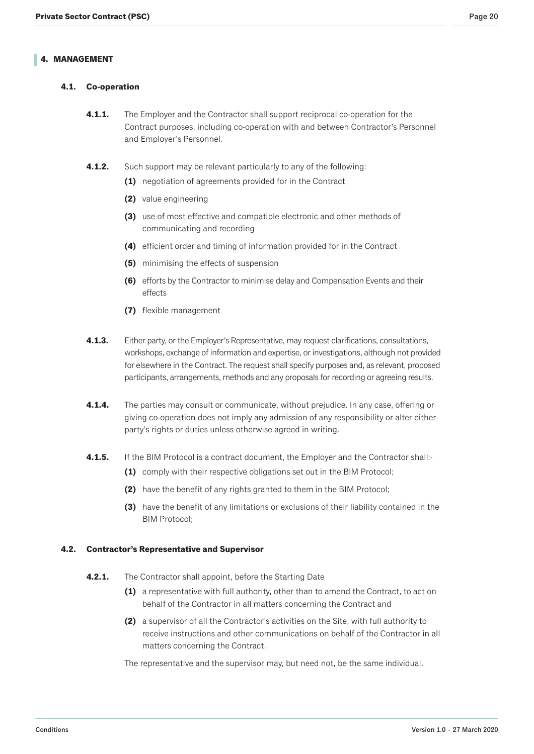# <span id="page-19-0"></span>**4.1. Co-operation**

- **4.1.1.** The Employer and the Contractor shall support reciprocal co-operation for the Contract purposes, including co-operation with and between Contractor's Personnel and Employer's Personnel.
- **4.1.2.** Such support may be relevant particularly to any of the following:
	- **(1)** negotiation of agreements provided for in the Contract
	- **(2)** value engineering
	- **(3)** use of most effective and compatible electronic and other methods of communicating and recording
	- **(4)** efficient order and timing of information provided for in the Contract
	- **(5)** minimising the effects of suspension
	- **(6)** efforts by the Contractor to minimise delay and Compensation Events and their effects
	- **(7)** flexible management
- **4.1.3.** Either party, or the Employer's Representative, may request clarifications, consultations, workshops, exchange of information and expertise, or investigations, although not provided for elsewhere in the Contract. The request shall specify purposes and, as relevant, proposed participants, arrangements, methods and any proposals for recording or agreeing results.
- **4.1.4.** The parties may consult or communicate, without prejudice. In any case, offering or giving co-operation does not imply any admission of any responsibility or alter either party's rights or duties unless otherwise agreed in writing.
- **4.1.5.** If the BIM Protocol is a contract document, the Employer and the Contractor shall:-
	- **(1)** comply with their respective obligations set out in the BIM Protocol;
	- **(2)** have the benefit of any rights granted to them in the BIM Protocol;
	- **(3)** have the benefit of any limitations or exclusions of their liability contained in the BIM Protocol;

### **4.2. Contractor's Representative and Supervisor**

- **4.2.1.** The Contractor shall appoint, before the Starting Date
	- **(1)** a representative with full authority, other than to amend the Contract, to act on behalf of the Contractor in all matters concerning the Contract and
	- **(2)** a supervisor of all the Contractor's activities on the Site, with full authority to receive instructions and other communications on behalf of the Contractor in all matters concerning the Contract.

The representative and the supervisor may, but need not, be the same individual.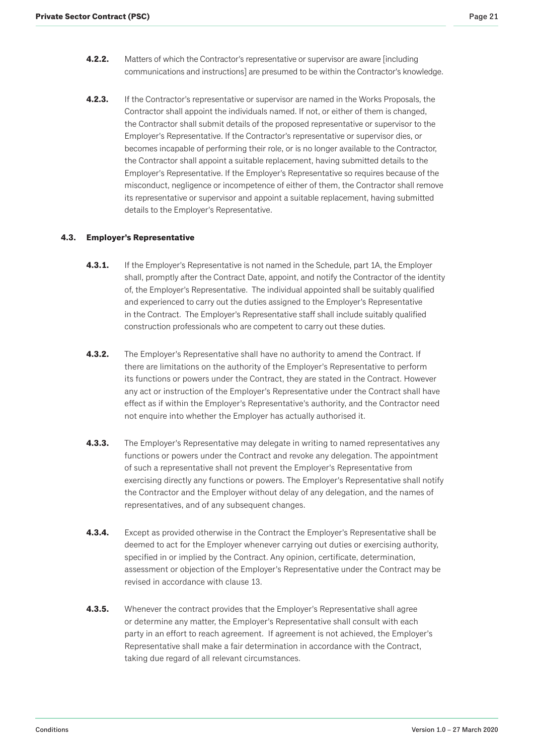- <span id="page-20-0"></span>**4.2.2.** Matters of which the Contractor's representative or supervisor are aware [including communications and instructions] are presumed to be within the Contractor's knowledge.
- **4.2.3.** If the Contractor's representative or supervisor are named in the Works Proposals, the Contractor shall appoint the individuals named. If not, or either of them is changed, the Contractor shall submit details of the proposed representative or supervisor to the Employer's Representative. If the Contractor's representative or supervisor dies, or becomes incapable of performing their role, or is no longer available to the Contractor, the Contractor shall appoint a suitable replacement, having submitted details to the Employer's Representative. If the Employer's Representative so requires because of the misconduct, negligence or incompetence of either of them, the Contractor shall remove its representative or supervisor and appoint a suitable replacement, having submitted details to the Employer's Representative.

### **4.3. Employer's Representative**

- **4.3.1.** If the Employer's Representative is not named in the Schedule, part 1A, the Employer shall, promptly after the Contract Date, appoint, and notify the Contractor of the identity of, the Employer's Representative. The individual appointed shall be suitably qualified and experienced to carry out the duties assigned to the Employer's Representative in the Contract. The Employer's Representative staff shall include suitably qualified construction professionals who are competent to carry out these duties.
- **4.3.2.** The Employer's Representative shall have no authority to amend the Contract. If there are limitations on the authority of the Employer's Representative to perform its functions or powers under the Contract, they are stated in the Contract. However any act or instruction of the Employer's Representative under the Contract shall have effect as if within the Employer's Representative's authority, and the Contractor need not enquire into whether the Employer has actually authorised it.
- **4.3.3.** The Employer's Representative may delegate in writing to named representatives any functions or powers under the Contract and revoke any delegation. The appointment of such a representative shall not prevent the Employer's Representative from exercising directly any functions or powers. The Employer's Representative shall notify the Contractor and the Employer without delay of any delegation, and the names of representatives, and of any subsequent changes.
- **4.3.4.** Except as provided otherwise in the Contract the Employer's Representative shall be deemed to act for the Employer whenever carrying out duties or exercising authority, specified in or implied by the Contract. Any opinion, certificate, determination, assessment or objection of the Employer's Representative under the Contract may be revised in accordance with clause 13.
- **4.3.5.** Whenever the contract provides that the Employer's Representative shall agree or determine any matter, the Employer's Representative shall consult with each party in an effort to reach agreement. If agreement is not achieved, the Employer's Representative shall make a fair determination in accordance with the Contract, taking due regard of all relevant circumstances.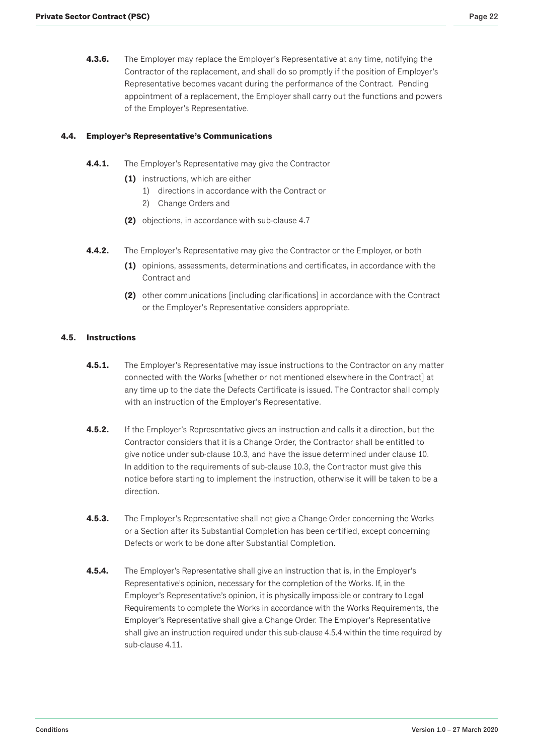<span id="page-21-0"></span>**4.3.6.** The Employer may replace the Employer's Representative at any time, notifying the Contractor of the replacement, and shall do so promptly if the position of Employer's Representative becomes vacant during the performance of the Contract. Pending appointment of a replacement, the Employer shall carry out the functions and powers of the Employer's Representative.

# **4.4. Employer's Representative's Communications**

- **4.4.1.** The Employer's Representative may give the Contractor
	- **(1)** instructions, which are either
		- 1) directions in accordance with the Contract or
		- 2) Change Orders and
	- **(2)** objections, in accordance with sub-clause 4.7
- **4.4.2.** The Employer's Representative may give the Contractor or the Employer, or both
	- **(1)** opinions, assessments, determinations and certificates, in accordance with the Contract and
	- **(2)** other communications [including clarifications] in accordance with the Contract or the Employer's Representative considers appropriate.

## **4.5. Instructions**

- **4.5.1.** The Employer's Representative may issue instructions to the Contractor on any matter connected with the Works [whether or not mentioned elsewhere in the Contract] at any time up to the date the Defects Certificate is issued. The Contractor shall comply with an instruction of the Employer's Representative.
- **4.5.2.** If the Employer's Representative gives an instruction and calls it a direction, but the Contractor considers that it is a Change Order, the Contractor shall be entitled to give notice under sub-clause 10.3, and have the issue determined under clause 10. In addition to the requirements of sub-clause 10.3, the Contractor must give this notice before starting to implement the instruction, otherwise it will be taken to be a direction.
- **4.5.3.** The Employer's Representative shall not give a Change Order concerning the Works or a Section after its Substantial Completion has been certified, except concerning Defects or work to be done after Substantial Completion.
- **4.5.4.** The Employer's Representative shall give an instruction that is, in the Employer's Representative's opinion, necessary for the completion of the Works. If, in the Employer's Representative's opinion, it is physically impossible or contrary to Legal Requirements to complete the Works in accordance with the Works Requirements, the Employer's Representative shall give a Change Order. The Employer's Representative shall give an instruction required under this sub-clause 4.5.4 within the time required by sub-clause 4.11.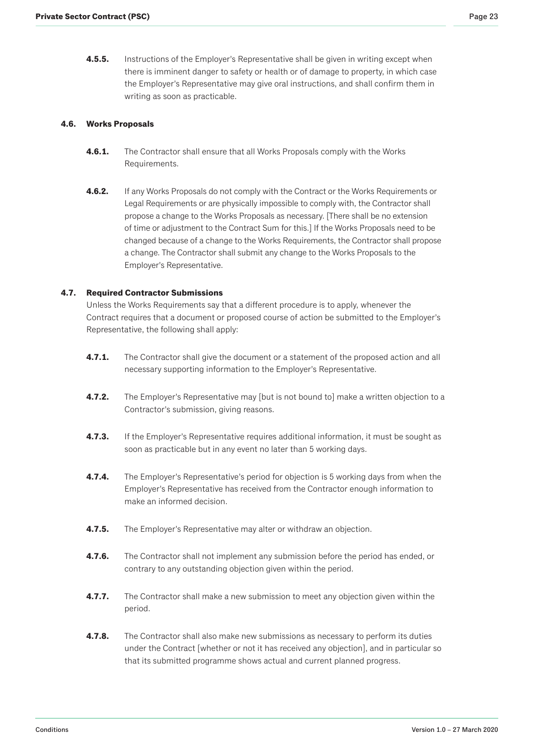<span id="page-22-0"></span>**4.5.5.** Instructions of the Employer's Representative shall be given in writing except when there is imminent danger to safety or health or of damage to property, in which case the Employer's Representative may give oral instructions, and shall confirm them in writing as soon as practicable.

# **4.6. Works Proposals**

- **4.6.1.** The Contractor shall ensure that all Works Proposals comply with the Works Requirements.
- **4.6.2.** If any Works Proposals do not comply with the Contract or the Works Requirements or Legal Requirements or are physically impossible to comply with, the Contractor shall propose a change to the Works Proposals as necessary. [There shall be no extension of time or adjustment to the Contract Sum for this.] If the Works Proposals need to be changed because of a change to the Works Requirements, the Contractor shall propose a change. The Contractor shall submit any change to the Works Proposals to the Employer's Representative.

# **4.7. Required Contractor Submissions**

Unless the Works Requirements say that a different procedure is to apply, whenever the Contract requires that a document or proposed course of action be submitted to the Employer's Representative, the following shall apply:

- **4.7.1.** The Contractor shall give the document or a statement of the proposed action and all necessary supporting information to the Employer's Representative.
- **4.7.2.** The Employer's Representative may [but is not bound to] make a written objection to a Contractor's submission, giving reasons.
- **4.7.3.** If the Employer's Representative requires additional information, it must be sought as soon as practicable but in any event no later than 5 working days.
- **4.7.4.** The Employer's Representative's period for objection is 5 working days from when the Employer's Representative has received from the Contractor enough information to make an informed decision.
- **4.7.5.** The Employer's Representative may alter or withdraw an objection.
- **4.7.6.** The Contractor shall not implement any submission before the period has ended, or contrary to any outstanding objection given within the period.
- **4.7.7.** The Contractor shall make a new submission to meet any objection given within the period.
- **4.7.8.** The Contractor shall also make new submissions as necessary to perform its duties under the Contract [whether or not it has received any objection], and in particular so that its submitted programme shows actual and current planned progress.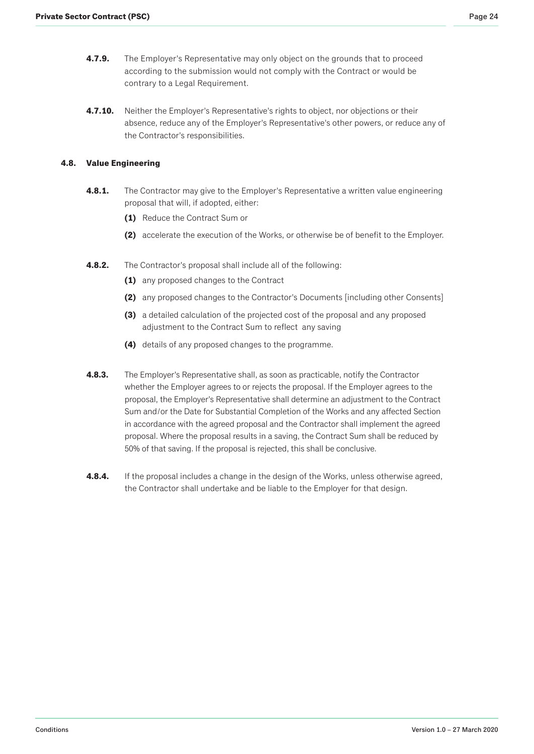- <span id="page-23-0"></span>**4.7.9.** The Employer's Representative may only object on the grounds that to proceed according to the submission would not comply with the Contract or would be contrary to a Legal Requirement.
- **4.7.10.** Neither the Employer's Representative's rights to object, nor objections or their absence, reduce any of the Employer's Representative's other powers, or reduce any of the Contractor's responsibilities.

# **4.8. Value Engineering**

- **4.8.1.** The Contractor may give to the Employer's Representative a written value engineering proposal that will, if adopted, either:
	- **(1)** Reduce the Contract Sum or
	- **(2)** accelerate the execution of the Works, or otherwise be of benefit to the Employer.
- **4.8.2.** The Contractor's proposal shall include all of the following:
	- **(1)** any proposed changes to the Contract
	- **(2)** any proposed changes to the Contractor's Documents [including other Consents]
	- **(3)** a detailed calculation of the projected cost of the proposal and any proposed adjustment to the Contract Sum to reflect any saving
	- **(4)** details of any proposed changes to the programme.
- **4.8.3.** The Employer's Representative shall, as soon as practicable, notify the Contractor whether the Employer agrees to or rejects the proposal. If the Employer agrees to the proposal, the Employer's Representative shall determine an adjustment to the Contract Sum and/or the Date for Substantial Completion of the Works and any affected Section in accordance with the agreed proposal and the Contractor shall implement the agreed proposal. Where the proposal results in a saving, the Contract Sum shall be reduced by 50% of that saving. If the proposal is rejected, this shall be conclusive.
- **4.8.4.** If the proposal includes a change in the design of the Works, unless otherwise agreed, the Contractor shall undertake and be liable to the Employer for that design.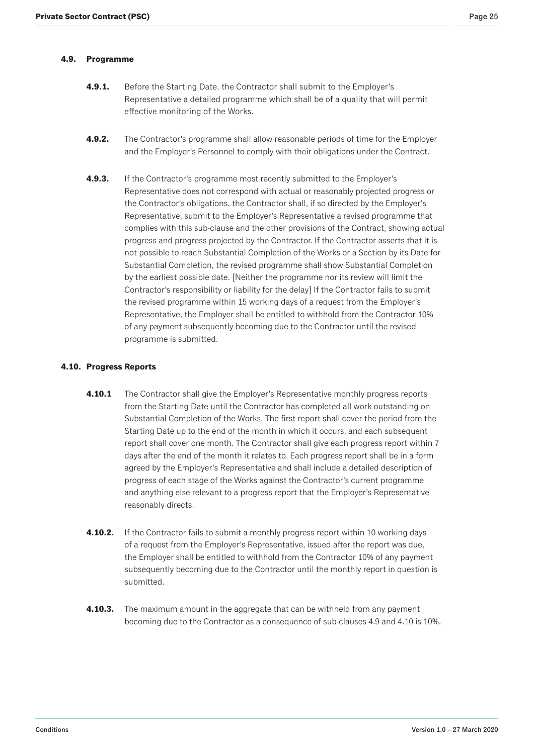# <span id="page-24-0"></span>**4.9. Programme**

- **4.9.1.** Before the Starting Date, the Contractor shall submit to the Employer's Representative a detailed programme which shall be of a quality that will permit effective monitoring of the Works.
- **4.9.2.** The Contractor's programme shall allow reasonable periods of time for the Employer and the Employer's Personnel to comply with their obligations under the Contract.
- **4.9.3.** If the Contractor's programme most recently submitted to the Employer's Representative does not correspond with actual or reasonably projected progress or the Contractor's obligations, the Contractor shall, if so directed by the Employer's Representative, submit to the Employer's Representative a revised programme that complies with this sub-clause and the other provisions of the Contract, showing actual progress and progress projected by the Contractor. If the Contractor asserts that it is not possible to reach Substantial Completion of the Works or a Section by its Date for Substantial Completion, the revised programme shall show Substantial Completion by the earliest possible date. [Neither the programme nor its review will limit the Contractor's responsibility or liability for the delay] If the Contractor fails to submit the revised programme within 15 working days of a request from the Employer's Representative, the Employer shall be entitled to withhold from the Contractor 10% of any payment subsequently becoming due to the Contractor until the revised programme is submitted.

# **4.10. Progress Reports**

- **4.10.1** The Contractor shall give the Employer's Representative monthly progress reports from the Starting Date until the Contractor has completed all work outstanding on Substantial Completion of the Works. The first report shall cover the period from the Starting Date up to the end of the month in which it occurs, and each subsequent report shall cover one month. The Contractor shall give each progress report within 7 days after the end of the month it relates to. Each progress report shall be in a form agreed by the Employer's Representative and shall include a detailed description of progress of each stage of the Works against the Contractor's current programme and anything else relevant to a progress report that the Employer's Representative reasonably directs.
- **4.10.2.** If the Contractor fails to submit a monthly progress report within 10 working days of a request from the Employer's Representative, issued after the report was due, the Employer shall be entitled to withhold from the Contractor 10% of any payment subsequently becoming due to the Contractor until the monthly report in question is submitted.
- **4.10.3.** The maximum amount in the aggregate that can be withheld from any payment becoming due to the Contractor as a consequence of sub-clauses 4.9 and 4.10 is 10%.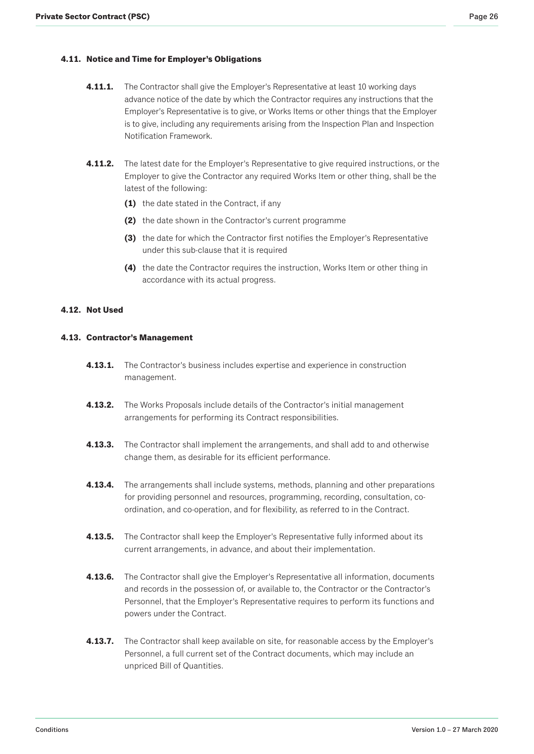## <span id="page-25-0"></span>**4.11. Notice and Time for Employer's Obligations**

- **4.11.1.** The Contractor shall give the Employer's Representative at least 10 working days advance notice of the date by which the Contractor requires any instructions that the Employer's Representative is to give, or Works Items or other things that the Employer is to give, including any requirements arising from the Inspection Plan and Inspection Notification Framework.
- **4.11.2.** The latest date for the Employer's Representative to give required instructions, or the Employer to give the Contractor any required Works Item or other thing, shall be the latest of the following:
	- **(1)** the date stated in the Contract, if any
	- **(2)** the date shown in the Contractor's current programme
	- **(3)** the date for which the Contractor first notifies the Employer's Representative under this sub-clause that it is required
	- **(4)** the date the Contractor requires the instruction, Works Item or other thing in accordance with its actual progress.

# **4.12. Not Used**

## **4.13. Contractor's Management**

- **4.13.1.** The Contractor's business includes expertise and experience in construction management.
- **4.13.2.** The Works Proposals include details of the Contractor's initial management arrangements for performing its Contract responsibilities.
- **4.13.3.** The Contractor shall implement the arrangements, and shall add to and otherwise change them, as desirable for its efficient performance.
- **4.13.4.** The arrangements shall include systems, methods, planning and other preparations for providing personnel and resources, programming, recording, consultation, coordination, and co-operation, and for flexibility, as referred to in the Contract.
- **4.13.5.** The Contractor shall keep the Employer's Representative fully informed about its current arrangements, in advance, and about their implementation.
- **4.13.6.** The Contractor shall give the Employer's Representative all information, documents and records in the possession of, or available to, the Contractor or the Contractor's Personnel, that the Employer's Representative requires to perform its functions and powers under the Contract.
- **4.13.7.** The Contractor shall keep available on site, for reasonable access by the Employer's Personnel, a full current set of the Contract documents, which may include an unpriced Bill of Quantities.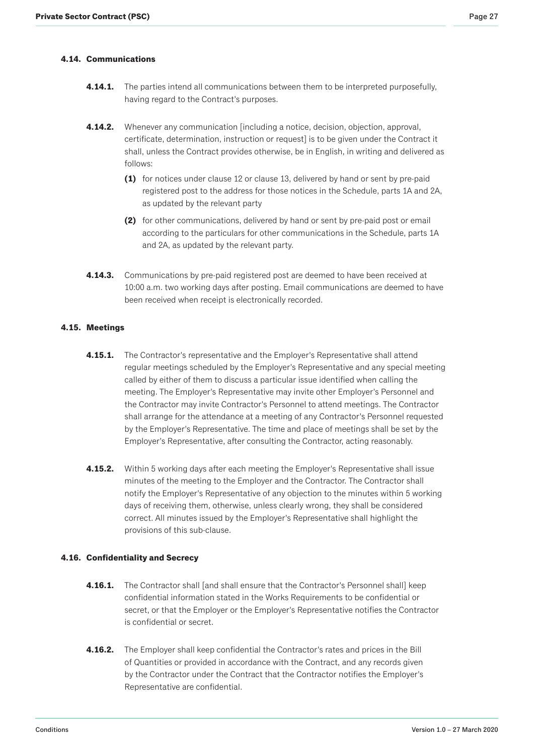# <span id="page-26-0"></span>**4.14. Communications**

- **4.14.1.** The parties intend all communications between them to be interpreted purposefully, having regard to the Contract's purposes.
- **4.14.2.** Whenever any communication [including a notice, decision, objection, approval, certificate, determination, instruction or request] is to be given under the Contract it shall, unless the Contract provides otherwise, be in English, in writing and delivered as follows:
	- **(1)** for notices under clause 12 or clause 13, delivered by hand or sent by pre-paid registered post to the address for those notices in the Schedule, parts 1A and 2A, as updated by the relevant party
	- **(2)** for other communications, delivered by hand or sent by pre-paid post or email according to the particulars for other communications in the Schedule, parts 1A and 2A, as updated by the relevant party.
- **4.14.3.** Communications by pre-paid registered post are deemed to have been received at 10:00 a.m. two working days after posting. Email communications are deemed to have been received when receipt is electronically recorded.

### **4.15. Meetings**

- **4.15.1.** The Contractor's representative and the Employer's Representative shall attend regular meetings scheduled by the Employer's Representative and any special meeting called by either of them to discuss a particular issue identified when calling the meeting. The Employer's Representative may invite other Employer's Personnel and the Contractor may invite Contractor's Personnel to attend meetings. The Contractor shall arrange for the attendance at a meeting of any Contractor's Personnel requested by the Employer's Representative. The time and place of meetings shall be set by the Employer's Representative, after consulting the Contractor, acting reasonably.
- **4.15.2.** Within 5 working days after each meeting the Employer's Representative shall issue minutes of the meeting to the Employer and the Contractor. The Contractor shall notify the Employer's Representative of any objection to the minutes within 5 working days of receiving them, otherwise, unless clearly wrong, they shall be considered correct. All minutes issued by the Employer's Representative shall highlight the provisions of this sub-clause.

### **4.16. Confidentiality and Secrecy**

- **4.16.1.** The Contractor shall [and shall ensure that the Contractor's Personnel shall] keep confidential information stated in the Works Requirements to be confidential or secret, or that the Employer or the Employer's Representative notifies the Contractor is confidential or secret.
- **4.16.2.** The Employer shall keep confidential the Contractor's rates and prices in the Bill of Quantities or provided in accordance with the Contract, and any records given by the Contractor under the Contract that the Contractor notifies the Employer's Representative are confidential.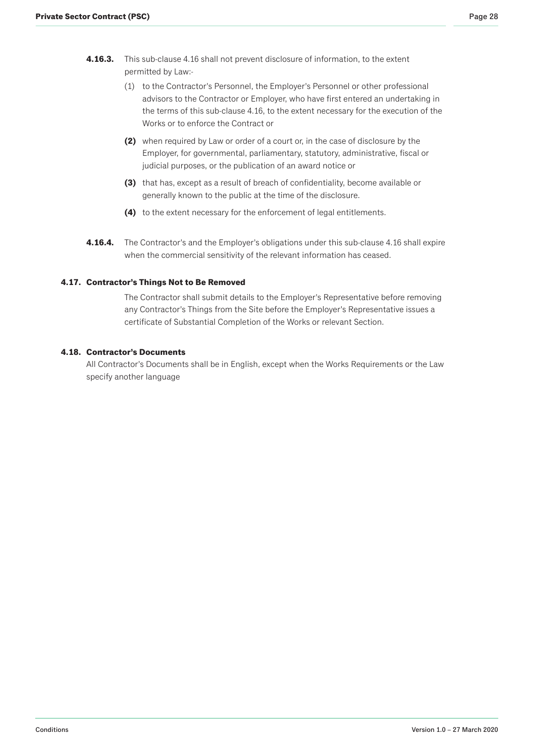- <span id="page-27-0"></span>**4.16.3.** This sub-clause 4.16 shall not prevent disclosure of information, to the extent permitted by Law:-
	- (1) to the Contractor's Personnel, the Employer's Personnel or other professional advisors to the Contractor or Employer, who have first entered an undertaking in the terms of this sub-clause 4.16, to the extent necessary for the execution of the Works or to enforce the Contract or
	- **(2)** when required by Law or order of a court or, in the case of disclosure by the Employer, for governmental, parliamentary, statutory, administrative, fiscal or judicial purposes, or the publication of an award notice or
	- **(3)** that has, except as a result of breach of confidentiality, become available or generally known to the public at the time of the disclosure.
	- **(4)** to the extent necessary for the enforcement of legal entitlements.
- **4.16.4.** The Contractor's and the Employer's obligations under this sub-clause 4.16 shall expire when the commercial sensitivity of the relevant information has ceased.

# **4.17. Contractor's Things Not to Be Removed**

The Contractor shall submit details to the Employer's Representative before removing any Contractor's Things from the Site before the Employer's Representative issues a certificate of Substantial Completion of the Works or relevant Section.

# **4.18. Contractor's Documents**

All Contractor's Documents shall be in English, except when the Works Requirements or the Law specify another language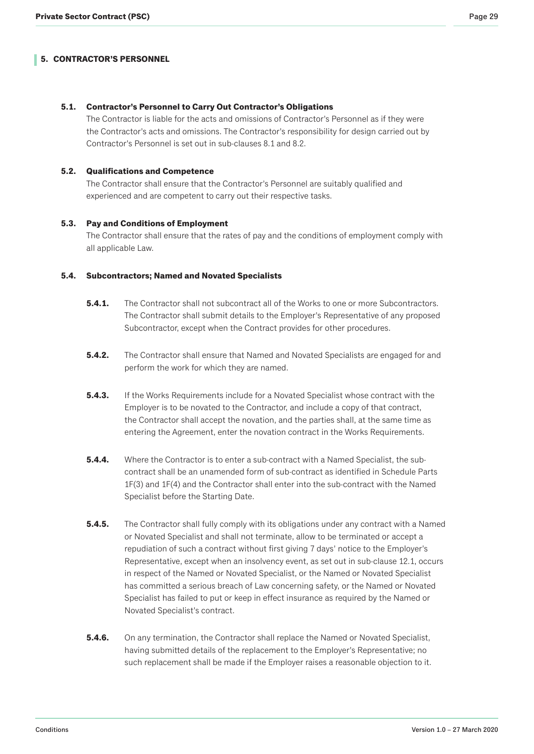## <span id="page-28-0"></span>**5.1. Contractor's Personnel to Carry Out Contractor's Obligations**

The Contractor is liable for the acts and omissions of Contractor's Personnel as if they were the Contractor's acts and omissions. The Contractor's responsibility for design carried out by Contractor's Personnel is set out in sub-clauses 8.1 and 8.2.

## **5.2. Qualifications and Competence**

The Contractor shall ensure that the Contractor's Personnel are suitably qualified and experienced and are competent to carry out their respective tasks.

# **5.3. Pay and Conditions of Employment**

The Contractor shall ensure that the rates of pay and the conditions of employment comply with all applicable Law.

### **5.4. Subcontractors; Named and Novated Specialists**

- **5.4.1.** The Contractor shall not subcontract all of the Works to one or more Subcontractors. The Contractor shall submit details to the Employer's Representative of any proposed Subcontractor, except when the Contract provides for other procedures.
- **5.4.2.** The Contractor shall ensure that Named and Novated Specialists are engaged for and perform the work for which they are named.
- **5.4.3.** If the Works Requirements include for a Novated Specialist whose contract with the Employer is to be novated to the Contractor, and include a copy of that contract, the Contractor shall accept the novation, and the parties shall, at the same time as entering the Agreement, enter the novation contract in the Works Requirements.
- **5.4.4.** Where the Contractor is to enter a sub-contract with a Named Specialist, the subcontract shall be an unamended form of sub-contract as identified in Schedule Parts 1F(3) and 1F(4) and the Contractor shall enter into the sub-contract with the Named Specialist before the Starting Date.
- **5.4.5.** The Contractor shall fully comply with its obligations under any contract with a Named or Novated Specialist and shall not terminate, allow to be terminated or accept a repudiation of such a contract without first giving 7 days' notice to the Employer's Representative, except when an insolvency event, as set out in sub-clause 12.1, occurs in respect of the Named or Novated Specialist, or the Named or Novated Specialist has committed a serious breach of Law concerning safety, or the Named or Novated Specialist has failed to put or keep in effect insurance as required by the Named or Novated Specialist's contract.
- **5.4.6.** On any termination, the Contractor shall replace the Named or Novated Specialist, having submitted details of the replacement to the Employer's Representative; no such replacement shall be made if the Employer raises a reasonable objection to it.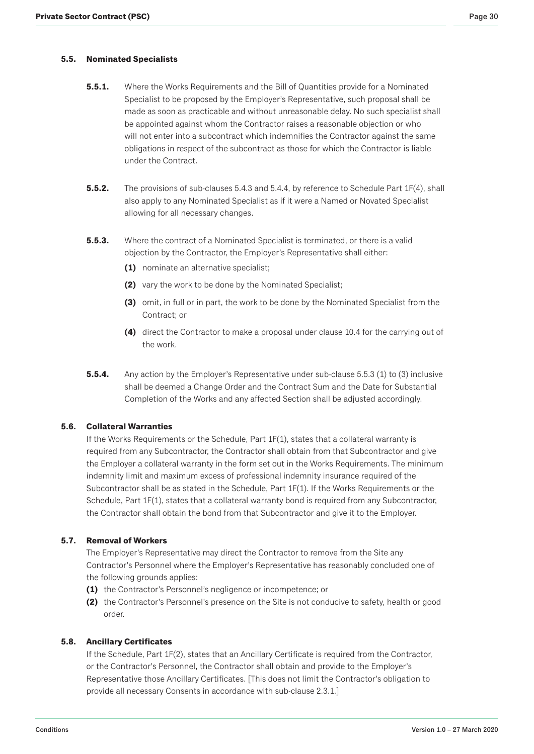## <span id="page-29-0"></span>**5.5. Nominated Specialists**

- **5.5.1.** Where the Works Requirements and the Bill of Quantities provide for a Nominated Specialist to be proposed by the Employer's Representative, such proposal shall be made as soon as practicable and without unreasonable delay. No such specialist shall be appointed against whom the Contractor raises a reasonable objection or who will not enter into a subcontract which indemnifies the Contractor against the same obligations in respect of the subcontract as those for which the Contractor is liable under the Contract.
- **5.5.2.** The provisions of sub-clauses 5.4.3 and 5.4.4, by reference to Schedule Part 1F(4), shall also apply to any Nominated Specialist as if it were a Named or Novated Specialist allowing for all necessary changes.
- **5.5.3.** Where the contract of a Nominated Specialist is terminated, or there is a valid objection by the Contractor, the Employer's Representative shall either:
	- **(1)** nominate an alternative specialist;
	- **(2)** vary the work to be done by the Nominated Specialist;
	- **(3)** omit, in full or in part, the work to be done by the Nominated Specialist from the Contract; or
	- **(4)** direct the Contractor to make a proposal under clause 10.4 for the carrying out of the work.
- **5.5.4.** Any action by the Employer's Representative under sub-clause 5.5.3 (1) to (3) inclusive shall be deemed a Change Order and the Contract Sum and the Date for Substantial Completion of the Works and any affected Section shall be adjusted accordingly.

### **5.6. Collateral Warranties**

If the Works Requirements or the Schedule, Part 1F(1), states that a collateral warranty is required from any Subcontractor, the Contractor shall obtain from that Subcontractor and give the Employer a collateral warranty in the form set out in the Works Requirements. The minimum indemnity limit and maximum excess of professional indemnity insurance required of the Subcontractor shall be as stated in the Schedule, Part 1F(1). If the Works Requirements or the Schedule, Part 1F(1), states that a collateral warranty bond is required from any Subcontractor, the Contractor shall obtain the bond from that Subcontractor and give it to the Employer.

# **5.7. Removal of Workers**

The Employer's Representative may direct the Contractor to remove from the Site any Contractor's Personnel where the Employer's Representative has reasonably concluded one of the following grounds applies:

- **(1)** the Contractor's Personnel's negligence or incompetence; or
- **(2)** the Contractor's Personnel's presence on the Site is not conducive to safety, health or good order.

# **5.8. Ancillary Certificates**

If the Schedule, Part 1F(2), states that an Ancillary Certificate is required from the Contractor, or the Contractor's Personnel, the Contractor shall obtain and provide to the Employer's Representative those Ancillary Certificates. [This does not limit the Contractor's obligation to provide all necessary Consents in accordance with sub-clause 2.3.1.]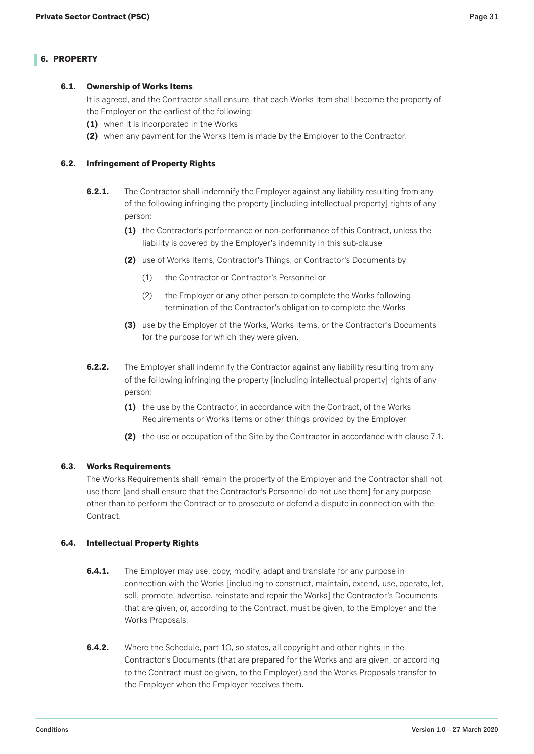# <span id="page-30-0"></span>**6.1. Ownership of Works Items**

It is agreed, and the Contractor shall ensure, that each Works Item shall become the property of the Employer on the earliest of the following:

- **(1)** when it is incorporated in the Works
- **(2)** when any payment for the Works Item is made by the Employer to the Contractor.

# **6.2. Infringement of Property Rights**

- **6.2.1.** The Contractor shall indemnify the Employer against any liability resulting from any of the following infringing the property [including intellectual property] rights of any person:
	- **(1)** the Contractor's performance or non-performance of this Contract, unless the liability is covered by the Employer's indemnity in this sub-clause
	- **(2)** use of Works Items, Contractor's Things, or Contractor's Documents by
		- (1) the Contractor or Contractor's Personnel or
		- (2) the Employer or any other person to complete the Works following termination of the Contractor's obligation to complete the Works
	- **(3)** use by the Employer of the Works, Works Items, or the Contractor's Documents for the purpose for which they were given.
- **6.2.2.** The Employer shall indemnify the Contractor against any liability resulting from any of the following infringing the property [including intellectual property] rights of any person:
	- **(1)** the use by the Contractor, in accordance with the Contract, of the Works Requirements or Works Items or other things provided by the Employer
	- **(2)** the use or occupation of the Site by the Contractor in accordance with clause 7.1.

# **6.3. Works Requirements**

The Works Requirements shall remain the property of the Employer and the Contractor shall not use them [and shall ensure that the Contractor's Personnel do not use them] for any purpose other than to perform the Contract or to prosecute or defend a dispute in connection with the Contract.

# **6.4. Intellectual Property Rights**

- **6.4.1.** The Employer may use, copy, modify, adapt and translate for any purpose in connection with the Works [including to construct, maintain, extend, use, operate, let, sell, promote, advertise, reinstate and repair the Works] the Contractor's Documents that are given, or, according to the Contract, must be given, to the Employer and the Works Proposals.
- **6.4.2.** Where the Schedule, part 1O, so states, all copyright and other rights in the Contractor's Documents (that are prepared for the Works and are given, or according to the Contract must be given, to the Employer) and the Works Proposals transfer to the Employer when the Employer receives them.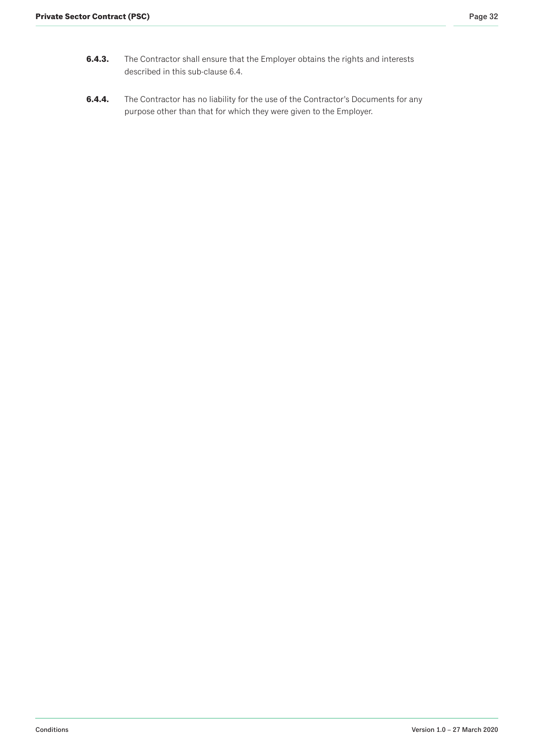- **6.4.3.** The Contractor shall ensure that the Employer obtains the rights and interests described in this sub-clause 6.4.
- **6.4.4.** The Contractor has no liability for the use of the Contractor's Documents for any purpose other than that for which they were given to the Employer.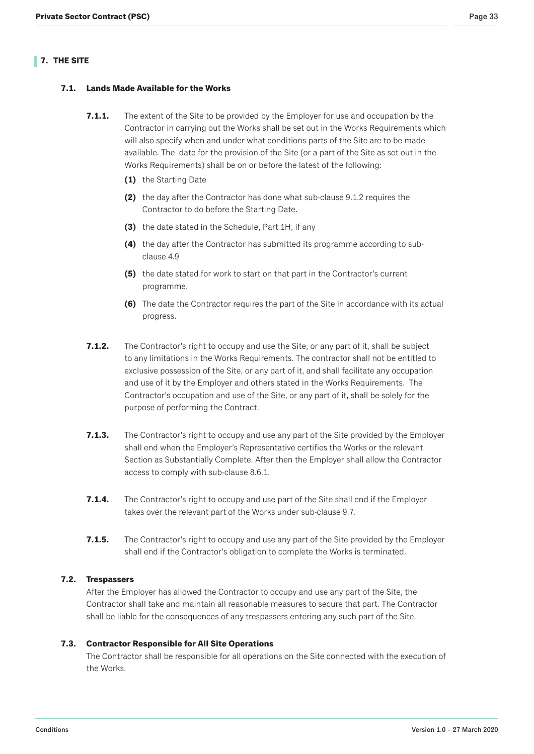# <span id="page-32-0"></span>**7. THE SITE**

# **7.1. Lands Made Available for the Works**

- **7.1.1.** The extent of the Site to be provided by the Employer for use and occupation by the Contractor in carrying out the Works shall be set out in the Works Requirements which will also specify when and under what conditions parts of the Site are to be made available. The date for the provision of the Site (or a part of the Site as set out in the Works Requirements) shall be on or before the latest of the following:
	- **(1)** the Starting Date
	- **(2)** the day after the Contractor has done what sub-clause 9.1.2 requires the Contractor to do before the Starting Date.
	- **(3)** the date stated in the Schedule, Part 1H, if any
	- **(4)** the day after the Contractor has submitted its programme according to subclause 4.9
	- **(5)** the date stated for work to start on that part in the Contractor's current programme.
	- **(6)** The date the Contractor requires the part of the Site in accordance with its actual progress.
- **7.1.2.** The Contractor's right to occupy and use the Site, or any part of it, shall be subject to any limitations in the Works Requirements. The contractor shall not be entitled to exclusive possession of the Site, or any part of it, and shall facilitate any occupation and use of it by the Employer and others stated in the Works Requirements. The Contractor's occupation and use of the Site, or any part of it, shall be solely for the purpose of performing the Contract.
- **7.1.3.** The Contractor's right to occupy and use any part of the Site provided by the Employer shall end when the Employer's Representative certifies the Works or the relevant Section as Substantially Complete. After then the Employer shall allow the Contractor access to comply with sub-clause 8.6.1.
- **7.1.4.** The Contractor's right to occupy and use part of the Site shall end if the Employer takes over the relevant part of the Works under sub-clause 9.7.
- **7.1.5.** The Contractor's right to occupy and use any part of the Site provided by the Employer shall end if the Contractor's obligation to complete the Works is terminated.

# **7.2. Trespassers**

After the Employer has allowed the Contractor to occupy and use any part of the Site, the Contractor shall take and maintain all reasonable measures to secure that part. The Contractor shall be liable for the consequences of any trespassers entering any such part of the Site.

# **7.3. Contractor Responsible for All Site Operations**

The Contractor shall be responsible for all operations on the Site connected with the execution of the Works.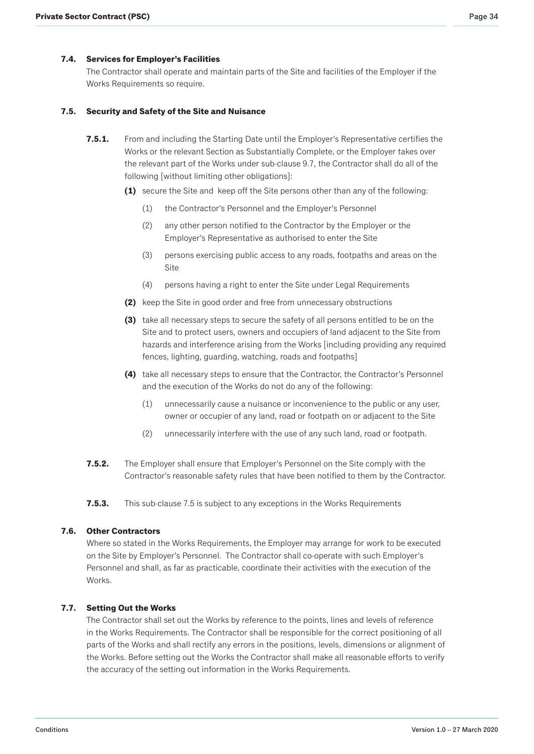## <span id="page-33-0"></span>**7.4. Services for Employer's Facilities**

The Contractor shall operate and maintain parts of the Site and facilities of the Employer if the Works Requirements so require.

### **7.5. Security and Safety of the Site and Nuisance**

- **7.5.1.** From and including the Starting Date until the Employer's Representative certifies the Works or the relevant Section as Substantially Complete, or the Employer takes over the relevant part of the Works under sub-clause 9.7, the Contractor shall do all of the following [without limiting other obligations]:
	- **(1)** secure the Site and keep off the Site persons other than any of the following:
		- (1) the Contractor's Personnel and the Employer's Personnel
		- (2) any other person notified to the Contractor by the Employer or the Employer's Representative as authorised to enter the Site
		- (3) persons exercising public access to any roads, footpaths and areas on the Site
		- (4) persons having a right to enter the Site under Legal Requirements
	- **(2)** keep the Site in good order and free from unnecessary obstructions
	- **(3)** take all necessary steps to secure the safety of all persons entitled to be on the Site and to protect users, owners and occupiers of land adjacent to the Site from hazards and interference arising from the Works [including providing any required fences, lighting, guarding, watching, roads and footpaths]
	- **(4)** take all necessary steps to ensure that the Contractor, the Contractor's Personnel and the execution of the Works do not do any of the following:
		- (1) unnecessarily cause a nuisance or inconvenience to the public or any user, owner or occupier of any land, road or footpath on or adjacent to the Site
		- (2) unnecessarily interfere with the use of any such land, road or footpath.
- **7.5.2.** The Employer shall ensure that Employer's Personnel on the Site comply with the Contractor's reasonable safety rules that have been notified to them by the Contractor.

**7.5.3.** This sub-clause 7.5 is subject to any exceptions in the Works Requirements

#### **7.6. Other Contractors**

Where so stated in the Works Requirements, the Employer may arrange for work to be executed on the Site by Employer's Personnel. The Contractor shall co-operate with such Employer's Personnel and shall, as far as practicable, coordinate their activities with the execution of the Works.

#### **7.7. Setting Out the Works**

The Contractor shall set out the Works by reference to the points, lines and levels of reference in the Works Requirements. The Contractor shall be responsible for the correct positioning of all parts of the Works and shall rectify any errors in the positions, levels, dimensions or alignment of the Works. Before setting out the Works the Contractor shall make all reasonable efforts to verify the accuracy of the setting out information in the Works Requirements.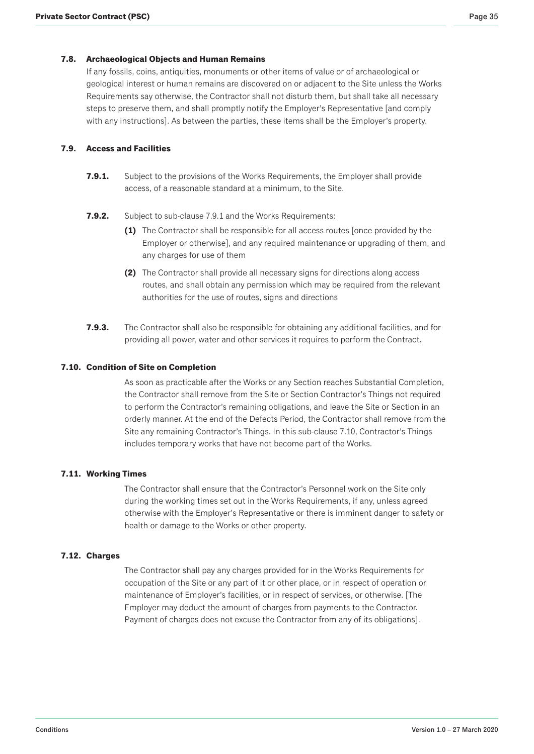# <span id="page-34-0"></span>**7.8. Archaeological Objects and Human Remains**

If any fossils, coins, antiquities, monuments or other items of value or of archaeological or geological interest or human remains are discovered on or adjacent to the Site unless the Works Requirements say otherwise, the Contractor shall not disturb them, but shall take all necessary steps to preserve them, and shall promptly notify the Employer's Representative [and comply with any instructions]. As between the parties, these items shall be the Employer's property.

# **7.9. Access and Facilities**

- **7.9.1.** Subject to the provisions of the Works Requirements, the Employer shall provide access, of a reasonable standard at a minimum, to the Site.
- **7.9.2.** Subject to sub-clause 7.9.1 and the Works Requirements:
	- **(1)** The Contractor shall be responsible for all access routes [once provided by the Employer or otherwise], and any required maintenance or upgrading of them, and any charges for use of them
	- **(2)** The Contractor shall provide all necessary signs for directions along access routes, and shall obtain any permission which may be required from the relevant authorities for the use of routes, signs and directions
- **7.9.3.** The Contractor shall also be responsible for obtaining any additional facilities, and for providing all power, water and other services it requires to perform the Contract.

### **7.10. Condition of Site on Completion**

As soon as practicable after the Works or any Section reaches Substantial Completion, the Contractor shall remove from the Site or Section Contractor's Things not required to perform the Contractor's remaining obligations, and leave the Site or Section in an orderly manner. At the end of the Defects Period, the Contractor shall remove from the Site any remaining Contractor's Things. In this sub-clause 7.10, Contractor's Things includes temporary works that have not become part of the Works.

### **7.11. Working Times**

The Contractor shall ensure that the Contractor's Personnel work on the Site only during the working times set out in the Works Requirements, if any, unless agreed otherwise with the Employer's Representative or there is imminent danger to safety or health or damage to the Works or other property.

### **7.12. Charges**

The Contractor shall pay any charges provided for in the Works Requirements for occupation of the Site or any part of it or other place, or in respect of operation or maintenance of Employer's facilities, or in respect of services, or otherwise. [The Employer may deduct the amount of charges from payments to the Contractor. Payment of charges does not excuse the Contractor from any of its obligations].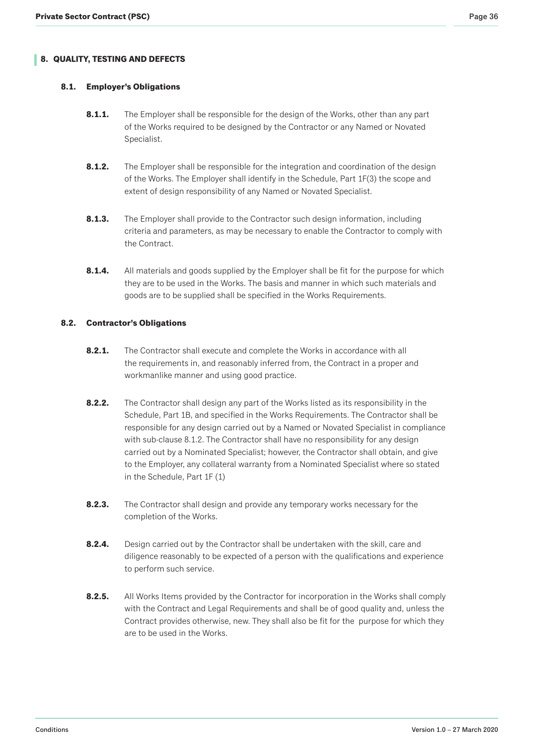# <span id="page-35-0"></span>**8. QUALITY, TESTING AND DEFECTS**

# **8.1. Employer's Obligations**

- **8.1.1.** The Employer shall be responsible for the design of the Works, other than any part of the Works required to be designed by the Contractor or any Named or Novated Specialist.
- **8.1.2.** The Employer shall be responsible for the integration and coordination of the design of the Works. The Employer shall identify in the Schedule, Part 1F(3) the scope and extent of design responsibility of any Named or Novated Specialist.
- **8.1.3.** The Employer shall provide to the Contractor such design information, including criteria and parameters, as may be necessary to enable the Contractor to comply with the Contract.
- **8.1.4.** All materials and goods supplied by the Employer shall be fit for the purpose for which they are to be used in the Works. The basis and manner in which such materials and goods are to be supplied shall be specified in the Works Requirements.

### **8.2. Contractor's Obligations**

- **8.2.1.** The Contractor shall execute and complete the Works in accordance with all the requirements in, and reasonably inferred from, the Contract in a proper and workmanlike manner and using good practice.
- **8.2.2.** The Contractor shall design any part of the Works listed as its responsibility in the Schedule, Part 1B, and specified in the Works Requirements. The Contractor shall be responsible for any design carried out by a Named or Novated Specialist in compliance with sub-clause 8.1.2. The Contractor shall have no responsibility for any design carried out by a Nominated Specialist; however, the Contractor shall obtain, and give to the Employer, any collateral warranty from a Nominated Specialist where so stated in the Schedule, Part 1F (1)
- **8.2.3.** The Contractor shall design and provide any temporary works necessary for the completion of the Works.
- **8.2.4.** Design carried out by the Contractor shall be undertaken with the skill, care and diligence reasonably to be expected of a person with the qualifications and experience to perform such service.
- **8.2.5.** All Works Items provided by the Contractor for incorporation in the Works shall comply with the Contract and Legal Requirements and shall be of good quality and, unless the Contract provides otherwise, new. They shall also be fit for the purpose for which they are to be used in the Works.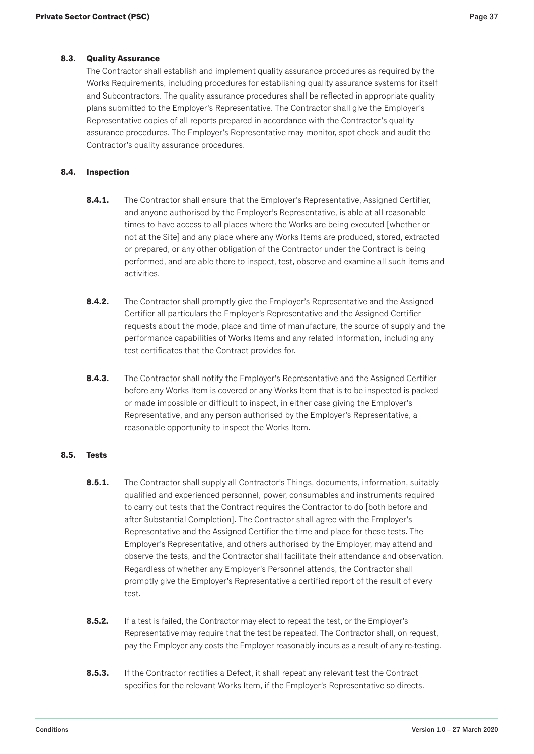## <span id="page-36-0"></span>**8.3. Quality Assurance**

The Contractor shall establish and implement quality assurance procedures as required by the Works Requirements, including procedures for establishing quality assurance systems for itself and Subcontractors. The quality assurance procedures shall be reflected in appropriate quality plans submitted to the Employer's Representative. The Contractor shall give the Employer's Representative copies of all reports prepared in accordance with the Contractor's quality assurance procedures. The Employer's Representative may monitor, spot check and audit the Contractor's quality assurance procedures.

## **8.4. Inspection**

- **8.4.1.** The Contractor shall ensure that the Employer's Representative, Assigned Certifier, and anyone authorised by the Employer's Representative, is able at all reasonable times to have access to all places where the Works are being executed [whether or not at the Site] and any place where any Works Items are produced, stored, extracted or prepared, or any other obligation of the Contractor under the Contract is being performed, and are able there to inspect, test, observe and examine all such items and activities.
- **8.4.2.** The Contractor shall promptly give the Employer's Representative and the Assigned Certifier all particulars the Employer's Representative and the Assigned Certifier requests about the mode, place and time of manufacture, the source of supply and the performance capabilities of Works Items and any related information, including any test certificates that the Contract provides for.
- 8.4.3. The Contractor shall notify the Employer's Representative and the Assigned Certifier before any Works Item is covered or any Works Item that is to be inspected is packed or made impossible or difficult to inspect, in either case giving the Employer's Representative, and any person authorised by the Employer's Representative, a reasonable opportunity to inspect the Works Item.

#### **8.5. Tests**

- **8.5.1.** The Contractor shall supply all Contractor's Things, documents, information, suitably qualified and experienced personnel, power, consumables and instruments required to carry out tests that the Contract requires the Contractor to do [both before and after Substantial Completion]. The Contractor shall agree with the Employer's Representative and the Assigned Certifier the time and place for these tests. The Employer's Representative, and others authorised by the Employer, may attend and observe the tests, and the Contractor shall facilitate their attendance and observation. Regardless of whether any Employer's Personnel attends, the Contractor shall promptly give the Employer's Representative a certified report of the result of every test.
- **8.5.2.** If a test is failed, the Contractor may elect to repeat the test, or the Employer's Representative may require that the test be repeated. The Contractor shall, on request, pay the Employer any costs the Employer reasonably incurs as a result of any re-testing.
- **8.5.3.** If the Contractor rectifies a Defect, it shall repeat any relevant test the Contract specifies for the relevant Works Item, if the Employer's Representative so directs.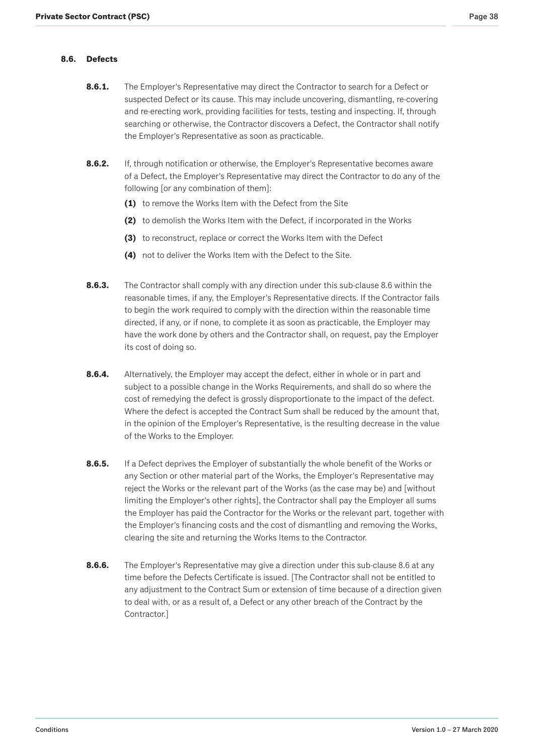### <span id="page-37-0"></span>**8.6. Defects**

- **8.6.1.** The Employer's Representative may direct the Contractor to search for a Defect or suspected Defect or its cause. This may include uncovering, dismantling, re-covering and re-erecting work, providing facilities for tests, testing and inspecting. If, through searching or otherwise, the Contractor discovers a Defect, the Contractor shall notify the Employer's Representative as soon as practicable.
- **8.6.2.** If, through notification or otherwise, the Employer's Representative becomes aware of a Defect, the Employer's Representative may direct the Contractor to do any of the following [or any combination of them]:
	- **(1)** to remove the Works Item with the Defect from the Site
	- **(2)** to demolish the Works Item with the Defect, if incorporated in the Works
	- **(3)** to reconstruct, replace or correct the Works Item with the Defect
	- **(4)** not to deliver the Works Item with the Defect to the Site.
- **8.6.3.** The Contractor shall comply with any direction under this sub-clause 8.6 within the reasonable times, if any, the Employer's Representative directs. If the Contractor fails to begin the work required to comply with the direction within the reasonable time directed, if any, or if none, to complete it as soon as practicable, the Employer may have the work done by others and the Contractor shall, on request, pay the Employer its cost of doing so.
- **8.6.4.** Alternatively, the Employer may accept the defect, either in whole or in part and subject to a possible change in the Works Requirements, and shall do so where the cost of remedying the defect is grossly disproportionate to the impact of the defect. Where the defect is accepted the Contract Sum shall be reduced by the amount that, in the opinion of the Employer's Representative, is the resulting decrease in the value of the Works to the Employer.
- **8.6.5.** If a Defect deprives the Employer of substantially the whole benefit of the Works or any Section or other material part of the Works, the Employer's Representative may reject the Works or the relevant part of the Works (as the case may be) and [without limiting the Employer's other rights], the Contractor shall pay the Employer all sums the Employer has paid the Contractor for the Works or the relevant part, together with the Employer's financing costs and the cost of dismantling and removing the Works, clearing the site and returning the Works Items to the Contractor.
- **8.6.6.** The Employer's Representative may give a direction under this sub-clause 8.6 at any time before the Defects Certificate is issued. [The Contractor shall not be entitled to any adjustment to the Contract Sum or extension of time because of a direction given to deal with, or as a result of, a Defect or any other breach of the Contract by the Contractor.]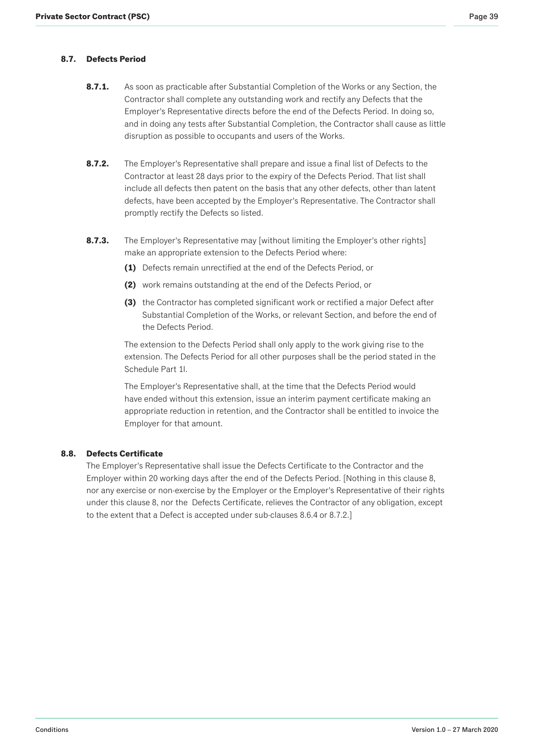# <span id="page-38-0"></span>**8.7. Defects Period**

- **8.7.1.** As soon as practicable after Substantial Completion of the Works or any Section, the Contractor shall complete any outstanding work and rectify any Defects that the Employer's Representative directs before the end of the Defects Period. In doing so, and in doing any tests after Substantial Completion, the Contractor shall cause as little disruption as possible to occupants and users of the Works.
- **8.7.2.** The Employer's Representative shall prepare and issue a final list of Defects to the Contractor at least 28 days prior to the expiry of the Defects Period. That list shall include all defects then patent on the basis that any other defects, other than latent defects, have been accepted by the Employer's Representative. The Contractor shall promptly rectify the Defects so listed.
- **8.7.3.** The Employer's Representative may [without limiting the Employer's other rights] make an appropriate extension to the Defects Period where:
	- **(1)** Defects remain unrectified at the end of the Defects Period, or
	- **(2)** work remains outstanding at the end of the Defects Period, or
	- **(3)** the Contractor has completed significant work or rectified a major Defect after Substantial Completion of the Works, or relevant Section, and before the end of the Defects Period.

The extension to the Defects Period shall only apply to the work giving rise to the extension. The Defects Period for all other purposes shall be the period stated in the Schedule Part 1I.

The Employer's Representative shall, at the time that the Defects Period would have ended without this extension, issue an interim payment certificate making an appropriate reduction in retention, and the Contractor shall be entitled to invoice the Employer for that amount.

### **8.8. Defects Certificate**

The Employer's Representative shall issue the Defects Certificate to the Contractor and the Employer within 20 working days after the end of the Defects Period. [Nothing in this clause 8, nor any exercise or non-exercise by the Employer or the Employer's Representative of their rights under this clause 8, nor the Defects Certificate, relieves the Contractor of any obligation, except to the extent that a Defect is accepted under sub-clauses 8.6.4 or 8.7.2.]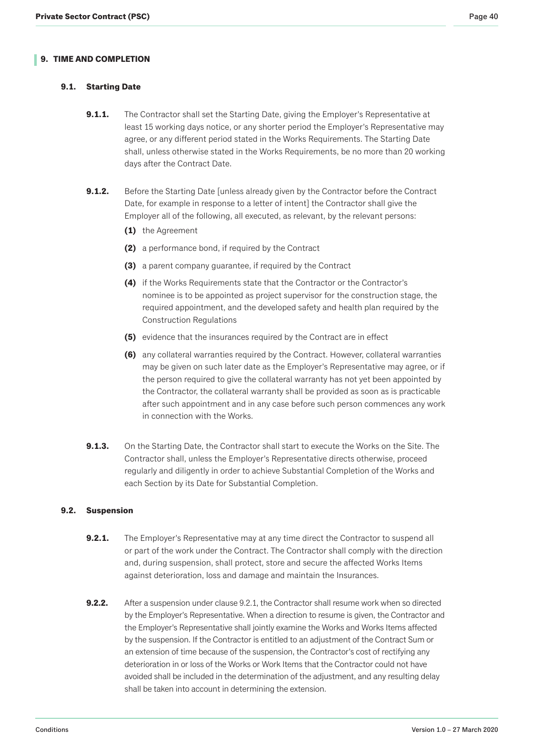# <span id="page-39-0"></span>**9.1. Starting Date**

- **9.1.1.** The Contractor shall set the Starting Date, giving the Employer's Representative at least 15 working days notice, or any shorter period the Employer's Representative may agree, or any different period stated in the Works Requirements. The Starting Date shall, unless otherwise stated in the Works Requirements, be no more than 20 working days after the Contract Date.
- **9.1.2.** Before the Starting Date [unless already given by the Contractor before the Contract Date, for example in response to a letter of intent] the Contractor shall give the Employer all of the following, all executed, as relevant, by the relevant persons:
	- **(1)** the Agreement
	- **(2)** a performance bond, if required by the Contract
	- **(3)** a parent company guarantee, if required by the Contract
	- **(4)** if the Works Requirements state that the Contractor or the Contractor's nominee is to be appointed as project supervisor for the construction stage, the required appointment, and the developed safety and health plan required by the Construction Regulations
	- **(5)** evidence that the insurances required by the Contract are in effect
	- **(6)** any collateral warranties required by the Contract. However, collateral warranties may be given on such later date as the Employer's Representative may agree, or if the person required to give the collateral warranty has not yet been appointed by the Contractor, the collateral warranty shall be provided as soon as is practicable after such appointment and in any case before such person commences any work in connection with the Works.
- **9.1.3.** On the Starting Date, the Contractor shall start to execute the Works on the Site. The Contractor shall, unless the Employer's Representative directs otherwise, proceed regularly and diligently in order to achieve Substantial Completion of the Works and each Section by its Date for Substantial Completion.

### **9.2. Suspension**

- **9.2.1.** The Employer's Representative may at any time direct the Contractor to suspend all or part of the work under the Contract. The Contractor shall comply with the direction and, during suspension, shall protect, store and secure the affected Works Items against deterioration, loss and damage and maintain the Insurances.
- **9.2.2.** After a suspension under clause 9.2.1, the Contractor shall resume work when so directed by the Employer's Representative. When a direction to resume is given, the Contractor and the Employer's Representative shall jointly examine the Works and Works Items affected by the suspension. If the Contractor is entitled to an adjustment of the Contract Sum or an extension of time because of the suspension, the Contractor's cost of rectifying any deterioration in or loss of the Works or Work Items that the Contractor could not have avoided shall be included in the determination of the adjustment, and any resulting delay shall be taken into account in determining the extension.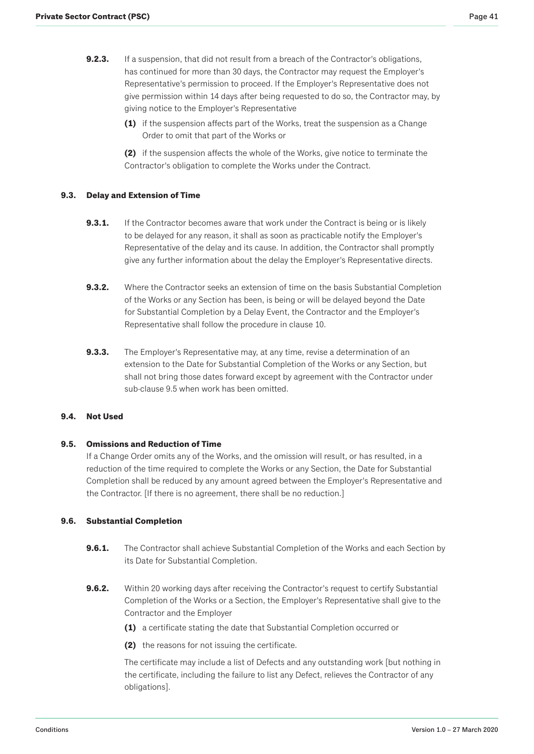- <span id="page-40-0"></span>**9.2.3.** If a suspension, that did not result from a breach of the Contractor's obligations, has continued for more than 30 days, the Contractor may request the Employer's Representative's permission to proceed. If the Employer's Representative does not give permission within 14 days after being requested to do so, the Contractor may, by giving notice to the Employer's Representative
	- **(1)** if the suspension affects part of the Works, treat the suspension as a Change Order to omit that part of the Works or

**(2)** if the suspension affects the whole of the Works, give notice to terminate the Contractor's obligation to complete the Works under the Contract.

### **9.3. Delay and Extension of Time**

- **9.3.1.** If the Contractor becomes aware that work under the Contract is being or is likely to be delayed for any reason, it shall as soon as practicable notify the Employer's Representative of the delay and its cause. In addition, the Contractor shall promptly give any further information about the delay the Employer's Representative directs.
- **9.3.2.** Where the Contractor seeks an extension of time on the basis Substantial Completion of the Works or any Section has been, is being or will be delayed beyond the Date for Substantial Completion by a Delay Event, the Contractor and the Employer's Representative shall follow the procedure in clause 10.
- **9.3.3.** The Employer's Representative may, at any time, revise a determination of an extension to the Date for Substantial Completion of the Works or any Section, but shall not bring those dates forward except by agreement with the Contractor under sub-clause 9.5 when work has been omitted.

### **9.4. Not Used**

### **9.5. Omissions and Reduction of Time**

If a Change Order omits any of the Works, and the omission will result, or has resulted, in a reduction of the time required to complete the Works or any Section, the Date for Substantial Completion shall be reduced by any amount agreed between the Employer's Representative and the Contractor. [If there is no agreement, there shall be no reduction.]

### **9.6. Substantial Completion**

- **9.6.1.** The Contractor shall achieve Substantial Completion of the Works and each Section by its Date for Substantial Completion.
- **9.6.2.** Within 20 working days after receiving the Contractor's request to certify Substantial Completion of the Works or a Section, the Employer's Representative shall give to the Contractor and the Employer
	- **(1)** a certificate stating the date that Substantial Completion occurred or
	- **(2)** the reasons for not issuing the certificate.

The certificate may include a list of Defects and any outstanding work [but nothing in the certificate, including the failure to list any Defect, relieves the Contractor of any obligations].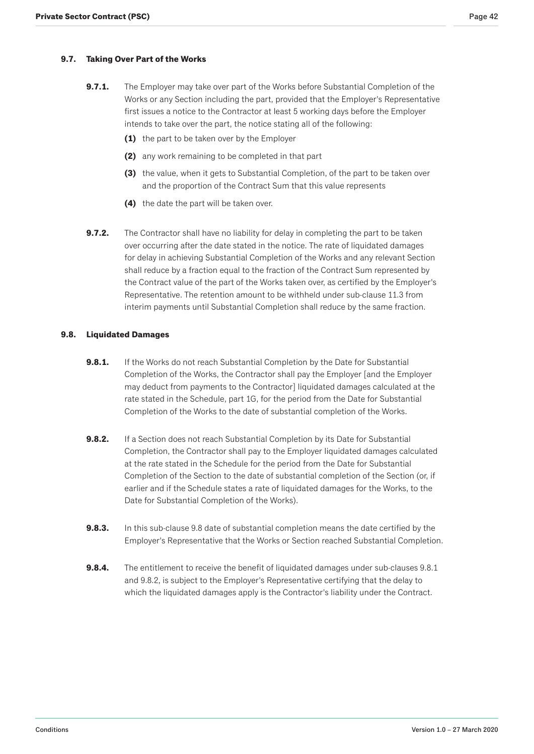# <span id="page-41-0"></span>**9.7. Taking Over Part of the Works**

- **9.7.1.** The Employer may take over part of the Works before Substantial Completion of the Works or any Section including the part, provided that the Employer's Representative first issues a notice to the Contractor at least 5 working days before the Employer intends to take over the part, the notice stating all of the following:
	- **(1)** the part to be taken over by the Employer
	- **(2)** any work remaining to be completed in that part
	- **(3)** the value, when it gets to Substantial Completion, of the part to be taken over and the proportion of the Contract Sum that this value represents
	- **(4)** the date the part will be taken over.
- **9.7.2.** The Contractor shall have no liability for delay in completing the part to be taken over occurring after the date stated in the notice. The rate of liquidated damages for delay in achieving Substantial Completion of the Works and any relevant Section shall reduce by a fraction equal to the fraction of the Contract Sum represented by the Contract value of the part of the Works taken over, as certified by the Employer's Representative. The retention amount to be withheld under sub-clause 11.3 from interim payments until Substantial Completion shall reduce by the same fraction.

### **9.8. Liquidated Damages**

- **9.8.1.** If the Works do not reach Substantial Completion by the Date for Substantial Completion of the Works, the Contractor shall pay the Employer [and the Employer may deduct from payments to the Contractor] liquidated damages calculated at the rate stated in the Schedule, part 1G, for the period from the Date for Substantial Completion of the Works to the date of substantial completion of the Works.
- **9.8.2.** If a Section does not reach Substantial Completion by its Date for Substantial Completion, the Contractor shall pay to the Employer liquidated damages calculated at the rate stated in the Schedule for the period from the Date for Substantial Completion of the Section to the date of substantial completion of the Section (or, if earlier and if the Schedule states a rate of liquidated damages for the Works, to the Date for Substantial Completion of the Works).
- **9.8.3.** In this sub-clause 9.8 date of substantial completion means the date certified by the Employer's Representative that the Works or Section reached Substantial Completion.
- **9.8.4.** The entitlement to receive the benefit of liquidated damages under sub-clauses 9.8.1 and 9.8.2, is subject to the Employer's Representative certifying that the delay to which the liquidated damages apply is the Contractor's liability under the Contract.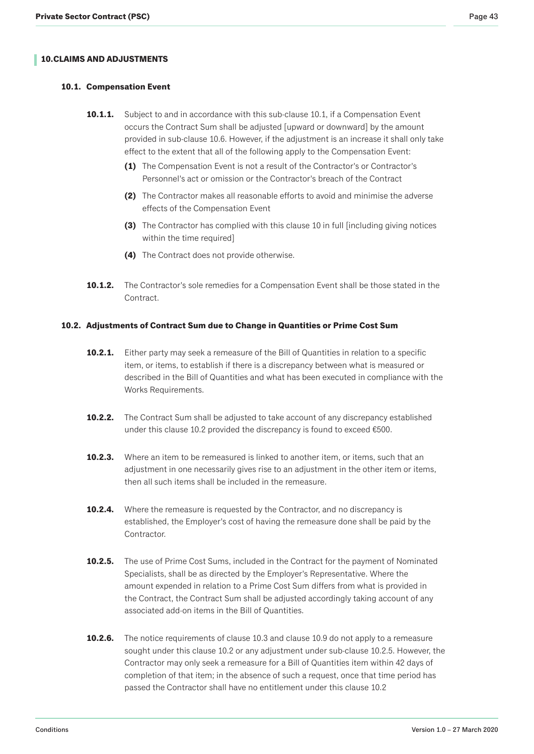# <span id="page-42-0"></span>**10. CLAIMS AND ADJUSTMENTS**

### **10.1. Compensation Event**

- **10.1.1.** Subject to and in accordance with this sub-clause 10.1, if a Compensation Event occurs the Contract Sum shall be adjusted [upward or downward] by the amount provided in sub-clause 10.6. However, if the adjustment is an increase it shall only take effect to the extent that all of the following apply to the Compensation Event:
	- **(1)** The Compensation Event is not a result of the Contractor's or Contractor's Personnel's act or omission or the Contractor's breach of the Contract
	- **(2)** The Contractor makes all reasonable efforts to avoid and minimise the adverse effects of the Compensation Event
	- **(3)** The Contractor has complied with this clause 10 in full [including giving notices within the time required]
	- **(4)** The Contract does not provide otherwise.
- **10.1.2.** The Contractor's sole remedies for a Compensation Event shall be those stated in the Contract.

### **10.2. Adjustments of Contract Sum due to Change in Quantities or Prime Cost Sum**

- **10.2.1.** Either party may seek a remeasure of the Bill of Quantities in relation to a specific item, or items, to establish if there is a discrepancy between what is measured or described in the Bill of Quantities and what has been executed in compliance with the Works Requirements.
- **10.2.2.** The Contract Sum shall be adjusted to take account of any discrepancy established under this clause 10.2 provided the discrepancy is found to exceed €500.
- **10.2.3.** Where an item to be remeasured is linked to another item, or items, such that an adjustment in one necessarily gives rise to an adjustment in the other item or items, then all such items shall be included in the remeasure.
- **10.2.4.** Where the remeasure is requested by the Contractor, and no discrepancy is established, the Employer's cost of having the remeasure done shall be paid by the Contractor.
- **10.2.5.** The use of Prime Cost Sums, included in the Contract for the payment of Nominated Specialists, shall be as directed by the Employer's Representative. Where the amount expended in relation to a Prime Cost Sum differs from what is provided in the Contract, the Contract Sum shall be adjusted accordingly taking account of any associated add-on items in the Bill of Quantities.
- **10.2.6.** The notice requirements of clause 10.3 and clause 10.9 do not apply to a remeasure sought under this clause 10.2 or any adjustment under sub-clause 10.2.5. However, the Contractor may only seek a remeasure for a Bill of Quantities item within 42 days of completion of that item; in the absence of such a request, once that time period has passed the Contractor shall have no entitlement under this clause 10.2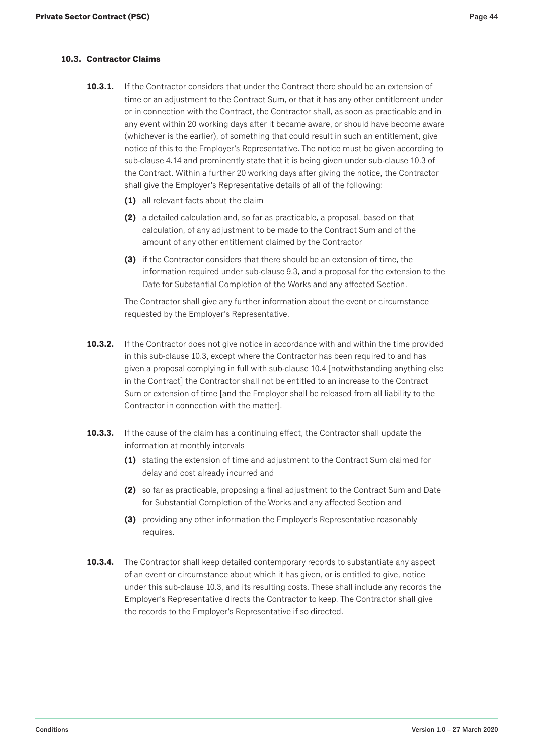# <span id="page-43-0"></span>**10.3. Contractor Claims**

- **10.3.1.** If the Contractor considers that under the Contract there should be an extension of time or an adjustment to the Contract Sum, or that it has any other entitlement under or in connection with the Contract, the Contractor shall, as soon as practicable and in any event within 20 working days after it became aware, or should have become aware (whichever is the earlier), of something that could result in such an entitlement, give notice of this to the Employer's Representative. The notice must be given according to sub-clause 4.14 and prominently state that it is being given under sub-clause 10.3 of the Contract. Within a further 20 working days after giving the notice, the Contractor shall give the Employer's Representative details of all of the following:
	- **(1)** all relevant facts about the claim
	- **(2)** a detailed calculation and, so far as practicable, a proposal, based on that calculation, of any adjustment to be made to the Contract Sum and of the amount of any other entitlement claimed by the Contractor
	- **(3)** if the Contractor considers that there should be an extension of time, the information required under sub-clause 9.3, and a proposal for the extension to the Date for Substantial Completion of the Works and any affected Section.

The Contractor shall give any further information about the event or circumstance requested by the Employer's Representative.

- **10.3.2.** If the Contractor does not give notice in accordance with and within the time provided in this sub-clause 10.3, except where the Contractor has been required to and has given a proposal complying in full with sub-clause 10.4 [notwithstanding anything else in the Contract] the Contractor shall not be entitled to an increase to the Contract Sum or extension of time [and the Employer shall be released from all liability to the Contractor in connection with the matter].
- **10.3.3.** If the cause of the claim has a continuing effect, the Contractor shall update the information at monthly intervals
	- **(1)** stating the extension of time and adjustment to the Contract Sum claimed for delay and cost already incurred and
	- **(2)** so far as practicable, proposing a final adjustment to the Contract Sum and Date for Substantial Completion of the Works and any affected Section and
	- **(3)** providing any other information the Employer's Representative reasonably requires.
- **10.3.4.** The Contractor shall keep detailed contemporary records to substantiate any aspect of an event or circumstance about which it has given, or is entitled to give, notice under this sub-clause 10.3, and its resulting costs. These shall include any records the Employer's Representative directs the Contractor to keep. The Contractor shall give the records to the Employer's Representative if so directed.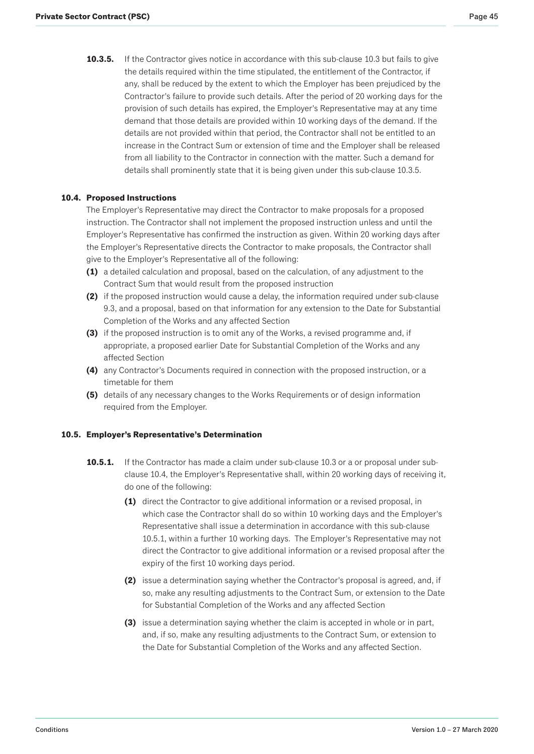<span id="page-44-0"></span>**10.3.5.** If the Contractor gives notice in accordance with this sub-clause 10.3 but fails to give the details required within the time stipulated, the entitlement of the Contractor, if any, shall be reduced by the extent to which the Employer has been prejudiced by the Contractor's failure to provide such details. After the period of 20 working days for the provision of such details has expired, the Employer's Representative may at any time demand that those details are provided within 10 working days of the demand. If the details are not provided within that period, the Contractor shall not be entitled to an increase in the Contract Sum or extension of time and the Employer shall be released from all liability to the Contractor in connection with the matter. Such a demand for details shall prominently state that it is being given under this sub-clause 10.3.5.

# **10.4. Proposed Instructions**

The Employer's Representative may direct the Contractor to make proposals for a proposed instruction. The Contractor shall not implement the proposed instruction unless and until the Employer's Representative has confirmed the instruction as given. Within 20 working days after the Employer's Representative directs the Contractor to make proposals, the Contractor shall give to the Employer's Representative all of the following:

- **(1)** a detailed calculation and proposal, based on the calculation, of any adjustment to the Contract Sum that would result from the proposed instruction
- **(2)** if the proposed instruction would cause a delay, the information required under sub-clause 9.3, and a proposal, based on that information for any extension to the Date for Substantial Completion of the Works and any affected Section
- **(3)** if the proposed instruction is to omit any of the Works, a revised programme and, if appropriate, a proposed earlier Date for Substantial Completion of the Works and any affected Section
- **(4)** any Contractor's Documents required in connection with the proposed instruction, or a timetable for them
- **(5)** details of any necessary changes to the Works Requirements or of design information required from the Employer.

### **10.5. Employer's Representative's Determination**

- **10.5.1.** If the Contractor has made a claim under sub-clause 10.3 or a or proposal under subclause 10.4, the Employer's Representative shall, within 20 working days of receiving it, do one of the following:
	- **(1)** direct the Contractor to give additional information or a revised proposal, in which case the Contractor shall do so within 10 working days and the Employer's Representative shall issue a determination in accordance with this sub-clause 10.5.1, within a further 10 working days. The Employer's Representative may not direct the Contractor to give additional information or a revised proposal after the expiry of the first 10 working days period.
	- **(2)** issue a determination saying whether the Contractor's proposal is agreed, and, if so, make any resulting adjustments to the Contract Sum, or extension to the Date for Substantial Completion of the Works and any affected Section
	- **(3)** issue a determination saying whether the claim is accepted in whole or in part, and, if so, make any resulting adjustments to the Contract Sum, or extension to the Date for Substantial Completion of the Works and any affected Section.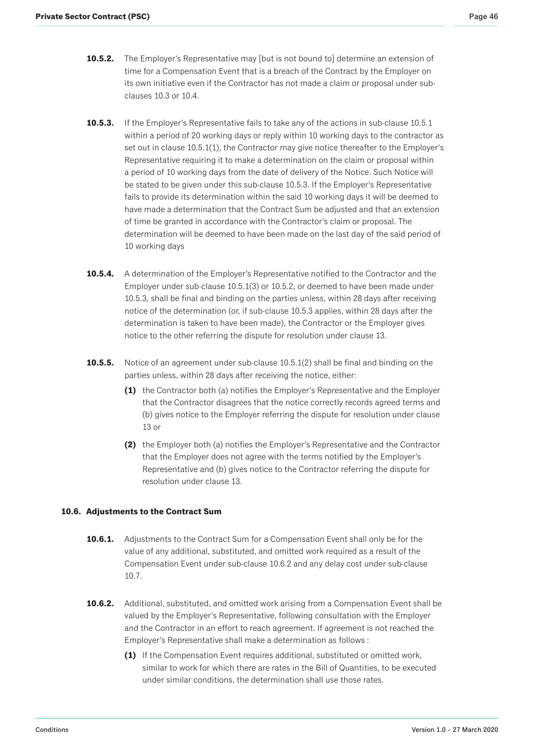- <span id="page-45-0"></span>**10.5.2.** The Employer's Representative may [but is not bound to] determine an extension of time for a Compensation Event that is a breach of the Contract by the Employer on its own initiative even if the Contractor has not made a claim or proposal under subclauses 10.3 or 10.4.
- **10.5.3.** If the Employer's Representative fails to take any of the actions in sub-clause 10.5.1 within a period of 20 working days or reply within 10 working days to the contractor as set out in clause 10.5.1(1), the Contractor may give notice thereafter to the Employer's Representative requiring it to make a determination on the claim or proposal within a period of 10 working days from the date of delivery of the Notice. Such Notice will be stated to be given under this sub-clause 10.5.3. If the Employer's Representative fails to provide its determination within the said 10 working days it will be deemed to have made a determination that the Contract Sum be adjusted and that an extension of time be granted in accordance with the Contractor's claim or proposal. The determination will be deemed to have been made on the last day of the said period of 10 working days
- **10.5.4.** A determination of the Employer's Representative notified to the Contractor and the Employer under sub-clause 10.5.1(3) or 10.5.2, or deemed to have been made under 10.5.3, shall be final and binding on the parties unless, within 28 days after receiving notice of the determination (or, if sub-clause 10.5.3 applies, within 28 days after the determination is taken to have been made), the Contractor or the Employer gives notice to the other referring the dispute for resolution under clause 13.
- **10.5.5.** Notice of an agreement under sub-clause 10.5.1(2) shall be final and binding on the parties unless, within 28 days after receiving the notice, either:
	- **(1)** the Contractor both (a) notifies the Employer's Representative and the Employer that the Contractor disagrees that the notice correctly records agreed terms and (b) gives notice to the Employer referring the dispute for resolution under clause 13 or
	- **(2)** the Employer both (a) notifies the Employer's Representative and the Contractor that the Employer does not agree with the terms notified by the Employer's Representative and (b) gives notice to the Contractor referring the dispute for resolution under clause 13.

# **10.6. Adjustments to the Contract Sum**

- **10.6.1.** Adjustments to the Contract Sum for a Compensation Event shall only be for the value of any additional, substituted, and omitted work required as a result of the Compensation Event under sub-clause 10.6.2 and any delay cost under sub-clause 10.7.
- **10.6.2.** Additional, substituted, and omitted work arising from a Compensation Event shall be valued by the Employer's Representative, following consultation with the Employer and the Contractor in an effort to reach agreement. If agreement is not reached the Employer's Representative shall make a determination as follows :
	- **(1)** If the Compensation Event requires additional, substituted or omitted work, similar to work for which there are rates in the Bill of Quantities, to be executed under similar conditions, the determination shall use those rates.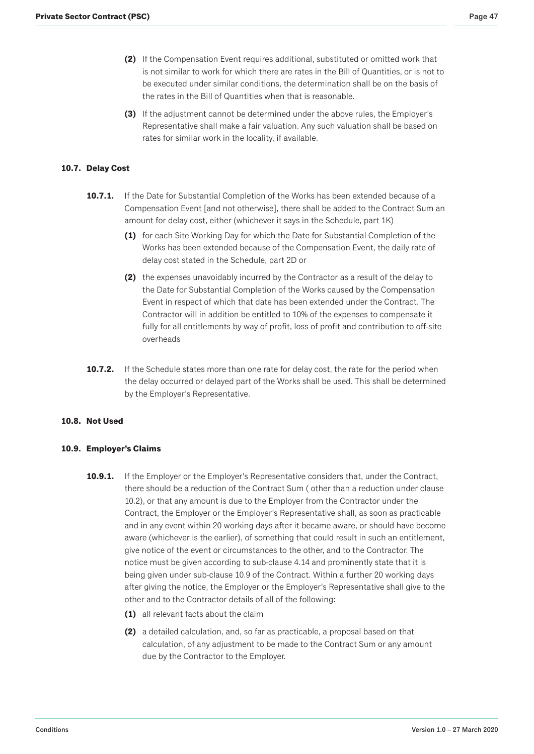- <span id="page-46-0"></span>**(2)** If the Compensation Event requires additional, substituted or omitted work that is not similar to work for which there are rates in the Bill of Quantities, or is not to be executed under similar conditions, the determination shall be on the basis of the rates in the Bill of Quantities when that is reasonable.
- **(3)** If the adjustment cannot be determined under the above rules, the Employer's Representative shall make a fair valuation. Any such valuation shall be based on rates for similar work in the locality, if available.

## **10.7. Delay Cost**

- **10.7.1.** If the Date for Substantial Completion of the Works has been extended because of a Compensation Event [and not otherwise], there shall be added to the Contract Sum an amount for delay cost, either (whichever it says in the Schedule, part 1K)
	- **(1)** for each Site Working Day for which the Date for Substantial Completion of the Works has been extended because of the Compensation Event, the daily rate of delay cost stated in the Schedule, part 2D or
	- **(2)** the expenses unavoidably incurred by the Contractor as a result of the delay to the Date for Substantial Completion of the Works caused by the Compensation Event in respect of which that date has been extended under the Contract. The Contractor will in addition be entitled to 10% of the expenses to compensate it fully for all entitlements by way of profit, loss of profit and contribution to off-site overheads
- **10.7.2.** If the Schedule states more than one rate for delay cost, the rate for the period when the delay occurred or delayed part of the Works shall be used. This shall be determined by the Employer's Representative.

### **10.8. Not Used**

### **10.9. Employer's Claims**

- **10.9.1.** If the Employer or the Employer's Representative considers that, under the Contract, there should be a reduction of the Contract Sum ( other than a reduction under clause 10.2), or that any amount is due to the Employer from the Contractor under the Contract, the Employer or the Employer's Representative shall, as soon as practicable and in any event within 20 working days after it became aware, or should have become aware (whichever is the earlier), of something that could result in such an entitlement, give notice of the event or circumstances to the other, and to the Contractor. The notice must be given according to sub-clause 4.14 and prominently state that it is being given under sub-clause 10.9 of the Contract. Within a further 20 working days after giving the notice, the Employer or the Employer's Representative shall give to the other and to the Contractor details of all of the following:
	- **(1)** all relevant facts about the claim
	- **(2)** a detailed calculation, and, so far as practicable, a proposal based on that calculation, of any adjustment to be made to the Contract Sum or any amount due by the Contractor to the Employer.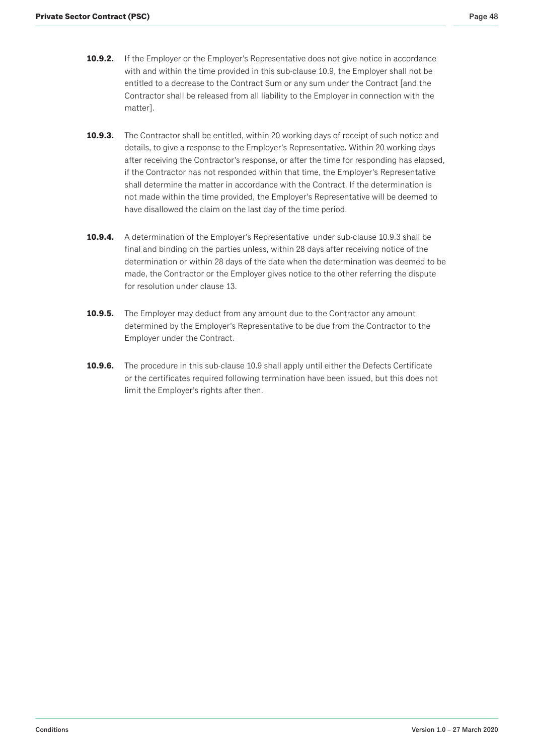- **10.9.2.** If the Employer or the Employer's Representative does not give notice in accordance with and within the time provided in this sub-clause 10.9, the Employer shall not be entitled to a decrease to the Contract Sum or any sum under the Contract [and the Contractor shall be released from all liability to the Employer in connection with the matter].
- **10.9.3.** The Contractor shall be entitled, within 20 working days of receipt of such notice and details, to give a response to the Employer's Representative. Within 20 working days after receiving the Contractor's response, or after the time for responding has elapsed, if the Contractor has not responded within that time, the Employer's Representative shall determine the matter in accordance with the Contract. If the determination is not made within the time provided, the Employer's Representative will be deemed to have disallowed the claim on the last day of the time period.
- **10.9.4.** A determination of the Employer's Representative under sub-clause 10.9.3 shall be final and binding on the parties unless, within 28 days after receiving notice of the determination or within 28 days of the date when the determination was deemed to be made, the Contractor or the Employer gives notice to the other referring the dispute for resolution under clause 13.
- **10.9.5.** The Employer may deduct from any amount due to the Contractor any amount determined by the Employer's Representative to be due from the Contractor to the Employer under the Contract.
- **10.9.6.** The procedure in this sub-clause 10.9 shall apply until either the Defects Certificate or the certificates required following termination have been issued, but this does not limit the Employer's rights after then.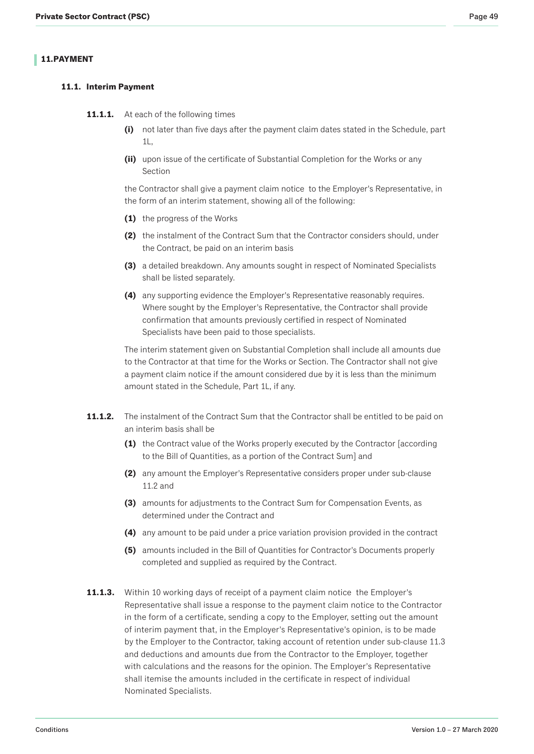# <span id="page-48-0"></span>**11. PAYMENT**

# **11.1. Interim Payment**

- **11.1.1.** At each of the following times
	- **(i)** not later than five days after the payment claim dates stated in the Schedule, part 1L,
	- **(ii)** upon issue of the certificate of Substantial Completion for the Works or any Section

the Contractor shall give a payment claim notice to the Employer's Representative, in the form of an interim statement, showing all of the following:

- **(1)** the progress of the Works
- **(2)** the instalment of the Contract Sum that the Contractor considers should, under the Contract, be paid on an interim basis
- **(3)** a detailed breakdown. Any amounts sought in respect of Nominated Specialists shall be listed separately.
- **(4)** any supporting evidence the Employer's Representative reasonably requires. Where sought by the Employer's Representative, the Contractor shall provide confirmation that amounts previously certified in respect of Nominated Specialists have been paid to those specialists.

The interim statement given on Substantial Completion shall include all amounts due to the Contractor at that time for the Works or Section. The Contractor shall not give a payment claim notice if the amount considered due by it is less than the minimum amount stated in the Schedule, Part 1L, if any.

- **11.1.2.** The instalment of the Contract Sum that the Contractor shall be entitled to be paid on an interim basis shall be
	- **(1)** the Contract value of the Works properly executed by the Contractor [according to the Bill of Quantities, as a portion of the Contract Sum] and
	- **(2)** any amount the Employer's Representative considers proper under sub-clause 11.2 and
	- **(3)** amounts for adjustments to the Contract Sum for Compensation Events, as determined under the Contract and
	- **(4)** any amount to be paid under a price variation provision provided in the contract
	- **(5)** amounts included in the Bill of Quantities for Contractor's Documents properly completed and supplied as required by the Contract.
- **11.1.3.** Within 10 working days of receipt of a payment claim notice the Employer's Representative shall issue a response to the payment claim notice to the Contractor in the form of a certificate, sending a copy to the Employer, setting out the amount of interim payment that, in the Employer's Representative's opinion, is to be made by the Employer to the Contractor, taking account of retention under sub-clause 11.3 and deductions and amounts due from the Contractor to the Employer, together with calculations and the reasons for the opinion. The Employer's Representative shall itemise the amounts included in the certificate in respect of individual Nominated Specialists.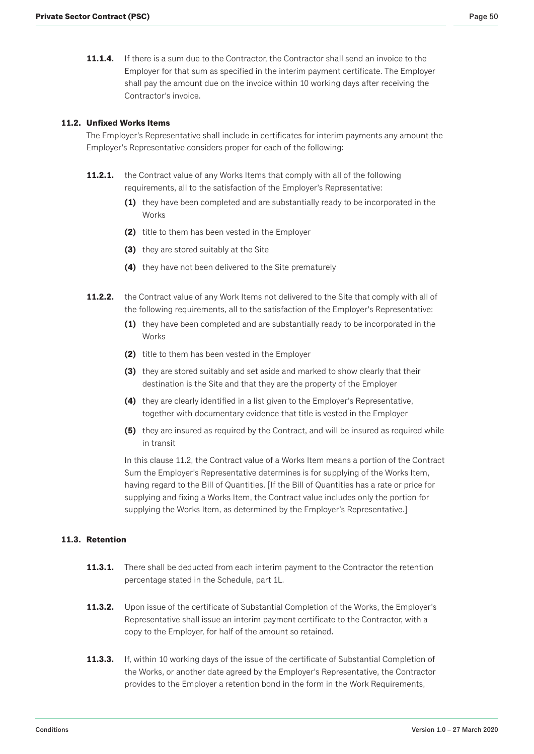<span id="page-49-0"></span>**11.1.4.** If there is a sum due to the Contractor, the Contractor shall send an invoice to the Employer for that sum as specified in the interim payment certificate. The Employer shall pay the amount due on the invoice within 10 working days after receiving the Contractor's invoice.

### **11.2. Unfixed Works Items**

The Employer's Representative shall include in certificates for interim payments any amount the Employer's Representative considers proper for each of the following:

- **11.2.1.** the Contract value of any Works Items that comply with all of the following requirements, all to the satisfaction of the Employer's Representative:
	- **(1)** they have been completed and are substantially ready to be incorporated in the **Works**
	- **(2)** title to them has been vested in the Employer
	- **(3)** they are stored suitably at the Site
	- **(4)** they have not been delivered to the Site prematurely
- **11.2.2.** the Contract value of any Work Items not delivered to the Site that comply with all of the following requirements, all to the satisfaction of the Employer's Representative:
	- **(1)** they have been completed and are substantially ready to be incorporated in the **Works**
	- **(2)** title to them has been vested in the Employer
	- **(3)** they are stored suitably and set aside and marked to show clearly that their destination is the Site and that they are the property of the Employer
	- **(4)** they are clearly identified in a list given to the Employer's Representative, together with documentary evidence that title is vested in the Employer
	- **(5)** they are insured as required by the Contract, and will be insured as required while in transit

In this clause 11.2, the Contract value of a Works Item means a portion of the Contract Sum the Employer's Representative determines is for supplying of the Works Item, having regard to the Bill of Quantities. [If the Bill of Quantities has a rate or price for supplying and fixing a Works Item, the Contract value includes only the portion for supplying the Works Item, as determined by the Employer's Representative.]

## **11.3. Retention**

- **11.3.1.** There shall be deducted from each interim payment to the Contractor the retention percentage stated in the Schedule, part 1L.
- **11.3.2.** Upon issue of the certificate of Substantial Completion of the Works, the Employer's Representative shall issue an interim payment certificate to the Contractor, with a copy to the Employer, for half of the amount so retained.
- **11.3.3.** If, within 10 working days of the issue of the certificate of Substantial Completion of the Works, or another date agreed by the Employer's Representative, the Contractor provides to the Employer a retention bond in the form in the Work Requirements,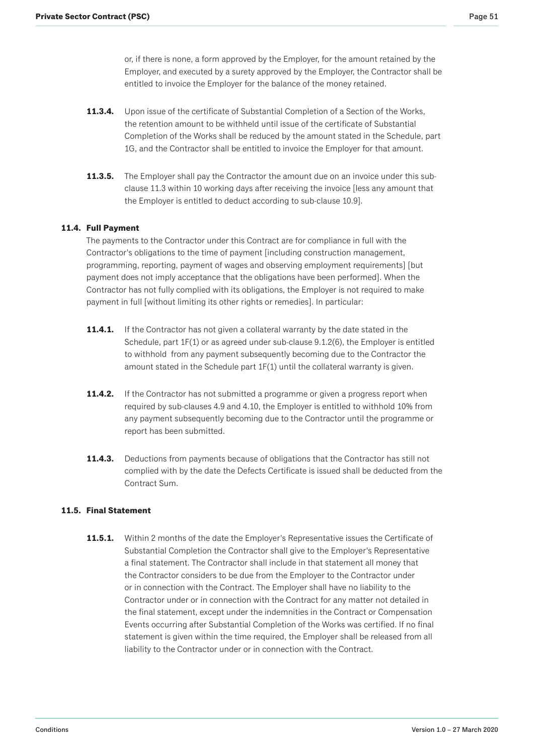<span id="page-50-0"></span>or, if there is none, a form approved by the Employer, for the amount retained by the Employer, and executed by a surety approved by the Employer, the Contractor shall be entitled to invoice the Employer for the balance of the money retained.

- **11.3.4.** Upon issue of the certificate of Substantial Completion of a Section of the Works, the retention amount to be withheld until issue of the certificate of Substantial Completion of the Works shall be reduced by the amount stated in the Schedule, part 1G, and the Contractor shall be entitled to invoice the Employer for that amount.
- **11.3.5.** The Employer shall pay the Contractor the amount due on an invoice under this subclause 11.3 within 10 working days after receiving the invoice [less any amount that the Employer is entitled to deduct according to sub-clause 10.9].

# **11.4. Full Payment**

The payments to the Contractor under this Contract are for compliance in full with the Contractor's obligations to the time of payment [including construction management, programming, reporting, payment of wages and observing employment requirements] [but payment does not imply acceptance that the obligations have been performed]. When the Contractor has not fully complied with its obligations, the Employer is not required to make payment in full [without limiting its other rights or remedies]. In particular:

- **11.4.1.** If the Contractor has not given a collateral warranty by the date stated in the Schedule, part 1F(1) or as agreed under sub-clause 9.1.2(6), the Employer is entitled to withhold from any payment subsequently becoming due to the Contractor the amount stated in the Schedule part 1F(1) until the collateral warranty is given.
- **11.4.2.** If the Contractor has not submitted a programme or given a progress report when required by sub-clauses 4.9 and 4.10, the Employer is entitled to withhold 10% from any payment subsequently becoming due to the Contractor until the programme or report has been submitted.
- **11.4.3.** Deductions from payments because of obligations that the Contractor has still not complied with by the date the Defects Certificate is issued shall be deducted from the Contract Sum.

### **11.5. Final Statement**

**11.5.1.** Within 2 months of the date the Employer's Representative issues the Certificate of Substantial Completion the Contractor shall give to the Employer's Representative a final statement. The Contractor shall include in that statement all money that the Contractor considers to be due from the Employer to the Contractor under or in connection with the Contract. The Employer shall have no liability to the Contractor under or in connection with the Contract for any matter not detailed in the final statement, except under the indemnities in the Contract or Compensation Events occurring after Substantial Completion of the Works was certified. If no final statement is given within the time required, the Employer shall be released from all liability to the Contractor under or in connection with the Contract.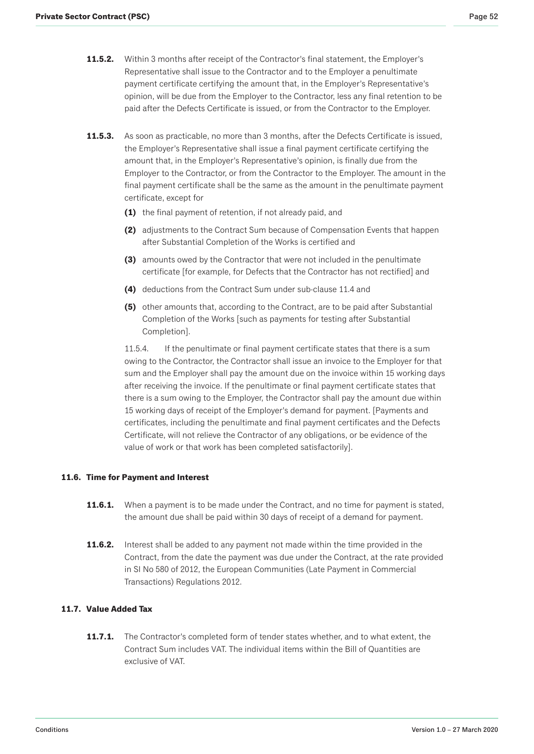- <span id="page-51-0"></span>**11.5.2.** Within 3 months after receipt of the Contractor's final statement, the Employer's Representative shall issue to the Contractor and to the Employer a penultimate payment certificate certifying the amount that, in the Employer's Representative's opinion, will be due from the Employer to the Contractor, less any final retention to be paid after the Defects Certificate is issued, or from the Contractor to the Employer.
- **11.5.3.** As soon as practicable, no more than 3 months, after the Defects Certificate is issued, the Employer's Representative shall issue a final payment certificate certifying the amount that, in the Employer's Representative's opinion, is finally due from the Employer to the Contractor, or from the Contractor to the Employer. The amount in the final payment certificate shall be the same as the amount in the penultimate payment certificate, except for
	- **(1)** the final payment of retention, if not already paid, and
	- **(2)** adjustments to the Contract Sum because of Compensation Events that happen after Substantial Completion of the Works is certified and
	- **(3)** amounts owed by the Contractor that were not included in the penultimate certificate [for example, for Defects that the Contractor has not rectified] and
	- **(4)** deductions from the Contract Sum under sub-clause 11.4 and
	- **(5)** other amounts that, according to the Contract, are to be paid after Substantial Completion of the Works [such as payments for testing after Substantial Completion].

11.5.4. If the penultimate or final payment certificate states that there is a sum owing to the Contractor, the Contractor shall issue an invoice to the Employer for that sum and the Employer shall pay the amount due on the invoice within 15 working days after receiving the invoice. If the penultimate or final payment certificate states that there is a sum owing to the Employer, the Contractor shall pay the amount due within 15 working days of receipt of the Employer's demand for payment. [Payments and certificates, including the penultimate and final payment certificates and the Defects Certificate, will not relieve the Contractor of any obligations, or be evidence of the value of work or that work has been completed satisfactorily].

### **11.6. Time for Payment and Interest**

- **11.6.1.** When a payment is to be made under the Contract, and no time for payment is stated, the amount due shall be paid within 30 days of receipt of a demand for payment.
- **11.6.2.** Interest shall be added to any payment not made within the time provided in the Contract, from the date the payment was due under the Contract, at the rate provided in SI No 580 of 2012, the European Communities (Late Payment in Commercial Transactions) Regulations 2012.

# **11.7. Value Added Tax**

**11.7.1.** The Contractor's completed form of tender states whether, and to what extent, the Contract Sum includes VAT. The individual items within the Bill of Quantities are exclusive of VAT.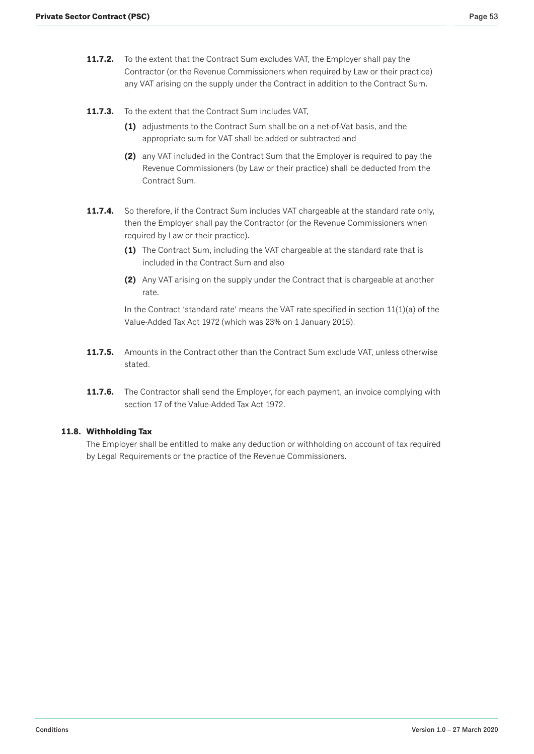- <span id="page-52-0"></span>**11.7.2.** To the extent that the Contract Sum excludes VAT, the Employer shall pay the Contractor (or the Revenue Commissioners when required by Law or their practice) any VAT arising on the supply under the Contract in addition to the Contract Sum.
- **11.7.3.** To the extent that the Contract Sum includes VAT,
	- **(1)** adjustments to the Contract Sum shall be on a net-of-Vat basis, and the appropriate sum for VAT shall be added or subtracted and
	- **(2)** any VAT included in the Contract Sum that the Employer is required to pay the Revenue Commissioners (by Law or their practice) shall be deducted from the Contract Sum.
- **11.7.4.** So therefore, if the Contract Sum includes VAT chargeable at the standard rate only, then the Employer shall pay the Contractor (or the Revenue Commissioners when required by Law or their practice).
	- **(1)** The Contract Sum, including the VAT chargeable at the standard rate that is included in the Contract Sum and also
	- **(2)** Any VAT arising on the supply under the Contract that is chargeable at another rate.

In the Contract 'standard rate' means the VAT rate specified in section  $11(1)(a)$  of the Value-Added Tax Act 1972 (which was 23% on 1 January 2015).

- **11.7.5.** Amounts in the Contract other than the Contract Sum exclude VAT, unless otherwise stated.
- **11.7.6.** The Contractor shall send the Employer, for each payment, an invoice complying with section 17 of the Value-Added Tax Act 1972.

### **11.8. Withholding Tax**

The Employer shall be entitled to make any deduction or withholding on account of tax required by Legal Requirements or the practice of the Revenue Commissioners.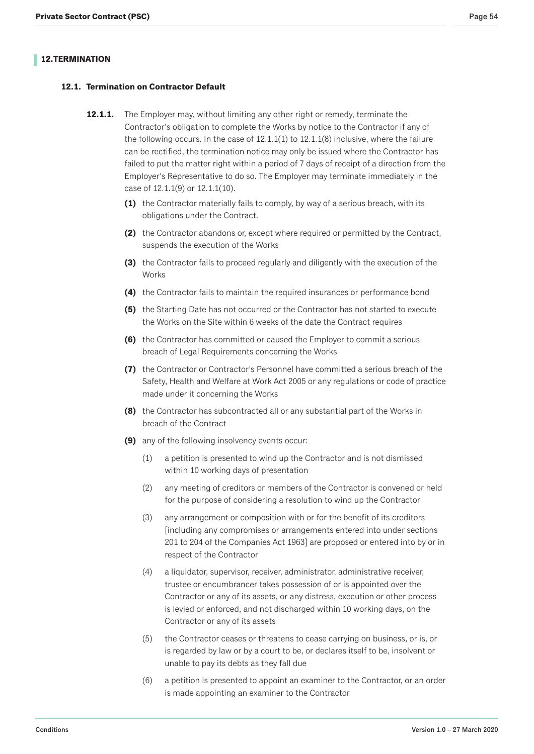# <span id="page-53-0"></span>**12. TERMINATION**

# **12.1. Termination on Contractor Default**

- **12.1.1.** The Employer may, without limiting any other right or remedy, terminate the Contractor's obligation to complete the Works by notice to the Contractor if any of the following occurs. In the case of  $12.1.1(1)$  to  $12.1.1(8)$  inclusive, where the failure can be rectified, the termination notice may only be issued where the Contractor has failed to put the matter right within a period of 7 days of receipt of a direction from the Employer's Representative to do so. The Employer may terminate immediately in the case of 12.1.1(9) or 12.1.1(10).
	- **(1)** the Contractor materially fails to comply, by way of a serious breach, with its obligations under the Contract.
	- **(2)** the Contractor abandons or, except where required or permitted by the Contract, suspends the execution of the Works
	- **(3)** the Contractor fails to proceed regularly and diligently with the execution of the **Works**
	- **(4)** the Contractor fails to maintain the required insurances or performance bond
	- **(5)** the Starting Date has not occurred or the Contractor has not started to execute the Works on the Site within 6 weeks of the date the Contract requires
	- **(6)** the Contractor has committed or caused the Employer to commit a serious breach of Legal Requirements concerning the Works
	- **(7)** the Contractor or Contractor's Personnel have committed a serious breach of the Safety, Health and Welfare at Work Act 2005 or any regulations or code of practice made under it concerning the Works
	- **(8)** the Contractor has subcontracted all or any substantial part of the Works in breach of the Contract
	- **(9)** any of the following insolvency events occur:
		- (1) a petition is presented to wind up the Contractor and is not dismissed within 10 working days of presentation
		- (2) any meeting of creditors or members of the Contractor is convened or held for the purpose of considering a resolution to wind up the Contractor
		- (3) any arrangement or composition with or for the benefit of its creditors [including any compromises or arrangements entered into under sections 201 to 204 of the Companies Act 1963] are proposed or entered into by or in respect of the Contractor
		- (4) a liquidator, supervisor, receiver, administrator, administrative receiver, trustee or encumbrancer takes possession of or is appointed over the Contractor or any of its assets, or any distress, execution or other process is levied or enforced, and not discharged within 10 working days, on the Contractor or any of its assets
		- (5) the Contractor ceases or threatens to cease carrying on business, or is, or is regarded by law or by a court to be, or declares itself to be, insolvent or unable to pay its debts as they fall due
		- (6) a petition is presented to appoint an examiner to the Contractor, or an order is made appointing an examiner to the Contractor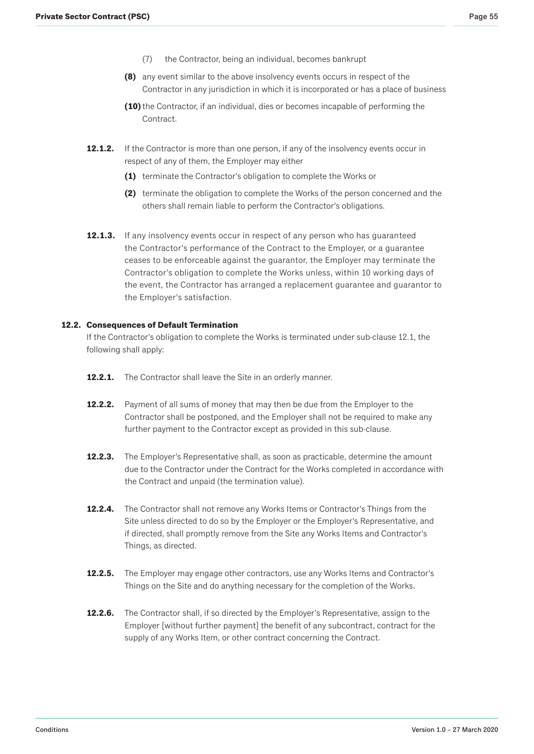- (7) the Contractor, being an individual, becomes bankrupt
- <span id="page-54-0"></span>**(8)** any event similar to the above insolvency events occurs in respect of the Contractor in any jurisdiction in which it is incorporated or has a place of business
- **(10)** the Contractor, if an individual, dies or becomes incapable of performing the Contract.
- **12.1.2.** If the Contractor is more than one person, if any of the insolvency events occur in respect of any of them, the Employer may either
	- **(1)** terminate the Contractor's obligation to complete the Works or
	- **(2)** terminate the obligation to complete the Works of the person concerned and the others shall remain liable to perform the Contractor's obligations.
- **12.1.3.** If any insolvency events occur in respect of any person who has guaranteed the Contractor's performance of the Contract to the Employer, or a guarantee ceases to be enforceable against the guarantor, the Employer may terminate the Contractor's obligation to complete the Works unless, within 10 working days of the event, the Contractor has arranged a replacement guarantee and guarantor to the Employer's satisfaction.

#### **12.2. Consequences of Default Termination**

If the Contractor's obligation to complete the Works is terminated under sub-clause 12.1, the following shall apply:

- **12.2.1.** The Contractor shall leave the Site in an orderly manner.
- **12.2.2.** Payment of all sums of money that may then be due from the Employer to the Contractor shall be postponed, and the Employer shall not be required to make any further payment to the Contractor except as provided in this sub-clause.
- **12.2.3.** The Employer's Representative shall, as soon as practicable, determine the amount due to the Contractor under the Contract for the Works completed in accordance with the Contract and unpaid (the termination value).
- 12.2.4. The Contractor shall not remove any Works Items or Contractor's Things from the Site unless directed to do so by the Employer or the Employer's Representative, and if directed, shall promptly remove from the Site any Works Items and Contractor's Things, as directed.
- **12.2.5.** The Employer may engage other contractors, use any Works Items and Contractor's Things on the Site and do anything necessary for the completion of the Works.
- **12.2.6.** The Contractor shall, if so directed by the Employer's Representative, assign to the Employer [without further payment] the benefit of any subcontract, contract for the supply of any Works Item, or other contract concerning the Contract.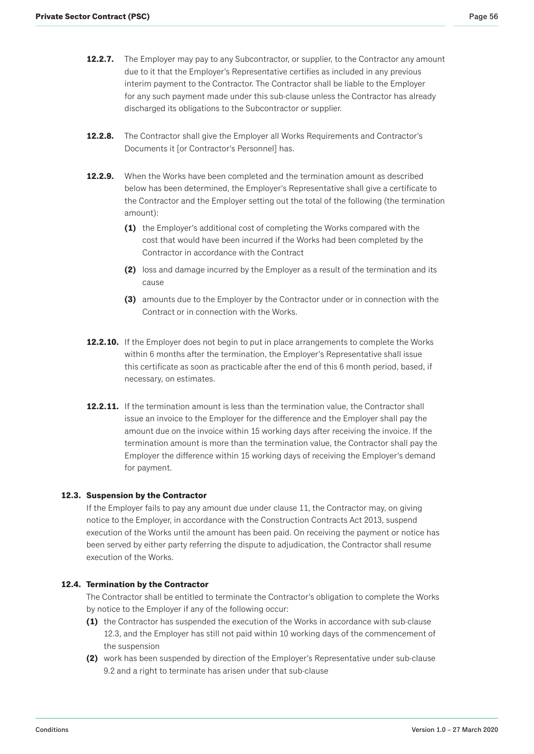- <span id="page-55-0"></span>**12.2.7.** The Employer may pay to any Subcontractor, or supplier, to the Contractor any amount due to it that the Employer's Representative certifies as included in any previous interim payment to the Contractor. The Contractor shall be liable to the Employer for any such payment made under this sub-clause unless the Contractor has already discharged its obligations to the Subcontractor or supplier.
- 12.2.8. The Contractor shall give the Employer all Works Requirements and Contractor's Documents it [or Contractor's Personnel] has.
- **12.2.9.** When the Works have been completed and the termination amount as described below has been determined, the Employer's Representative shall give a certificate to the Contractor and the Employer setting out the total of the following (the termination amount):
	- **(1)** the Employer's additional cost of completing the Works compared with the cost that would have been incurred if the Works had been completed by the Contractor in accordance with the Contract
	- **(2)** loss and damage incurred by the Employer as a result of the termination and its cause
	- **(3)** amounts due to the Employer by the Contractor under or in connection with the Contract or in connection with the Works.
- **12.2.10.** If the Employer does not begin to put in place arrangements to complete the Works within 6 months after the termination, the Employer's Representative shall issue this certificate as soon as practicable after the end of this 6 month period, based, if necessary, on estimates.
- **12.2.11.** If the termination amount is less than the termination value, the Contractor shall issue an invoice to the Employer for the difference and the Employer shall pay the amount due on the invoice within 15 working days after receiving the invoice. If the termination amount is more than the termination value, the Contractor shall pay the Employer the difference within 15 working days of receiving the Employer's demand for payment.

### **12.3. Suspension by the Contractor**

If the Employer fails to pay any amount due under clause 11, the Contractor may, on giving notice to the Employer, in accordance with the Construction Contracts Act 2013, suspend execution of the Works until the amount has been paid. On receiving the payment or notice has been served by either party referring the dispute to adjudication, the Contractor shall resume execution of the Works.

### **12.4. Termination by the Contractor**

The Contractor shall be entitled to terminate the Contractor's obligation to complete the Works by notice to the Employer if any of the following occur:

- **(1)** the Contractor has suspended the execution of the Works in accordance with sub-clause 12.3, and the Employer has still not paid within 10 working days of the commencement of the suspension
- **(2)** work has been suspended by direction of the Employer's Representative under sub-clause 9.2 and a right to terminate has arisen under that sub-clause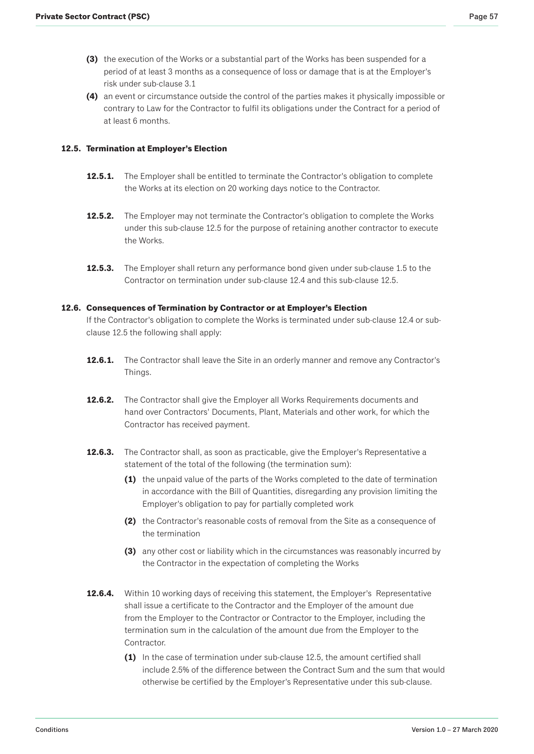- <span id="page-56-0"></span>**(3)** the execution of the Works or a substantial part of the Works has been suspended for a period of at least 3 months as a consequence of loss or damage that is at the Employer's risk under sub-clause 3.1
- **(4)** an event or circumstance outside the control of the parties makes it physically impossible or contrary to Law for the Contractor to fulfil its obligations under the Contract for a period of at least 6 months.

## **12.5. Termination at Employer's Election**

- **12.5.1.** The Employer shall be entitled to terminate the Contractor's obligation to complete the Works at its election on 20 working days notice to the Contractor.
- **12.5.2.** The Employer may not terminate the Contractor's obligation to complete the Works under this sub-clause 12.5 for the purpose of retaining another contractor to execute the Works.
- **12.5.3.** The Employer shall return any performance bond given under sub-clause 1.5 to the Contractor on termination under sub-clause 12.4 and this sub-clause 12.5.

### **12.6. Consequences of Termination by Contractor or at Employer's Election**

If the Contractor's obligation to complete the Works is terminated under sub-clause 12.4 or subclause 12.5 the following shall apply:

- **12.6.1.** The Contractor shall leave the Site in an orderly manner and remove any Contractor's Things.
- **12.6.2.** The Contractor shall give the Employer all Works Requirements documents and hand over Contractors' Documents, Plant, Materials and other work, for which the Contractor has received payment.
- **12.6.3.** The Contractor shall, as soon as practicable, give the Employer's Representative a statement of the total of the following (the termination sum):
	- **(1)** the unpaid value of the parts of the Works completed to the date of termination in accordance with the Bill of Quantities, disregarding any provision limiting the Employer's obligation to pay for partially completed work
	- **(2)** the Contractor's reasonable costs of removal from the Site as a consequence of the termination
	- **(3)** any other cost or liability which in the circumstances was reasonably incurred by the Contractor in the expectation of completing the Works
- **12.6.4.** Within 10 working days of receiving this statement, the Employer's Representative shall issue a certificate to the Contractor and the Employer of the amount due from the Employer to the Contractor or Contractor to the Employer, including the termination sum in the calculation of the amount due from the Employer to the Contractor.
	- **(1)** In the case of termination under sub-clause 12.5, the amount certified shall include 2.5% of the difference between the Contract Sum and the sum that would otherwise be certified by the Employer's Representative under this sub-clause.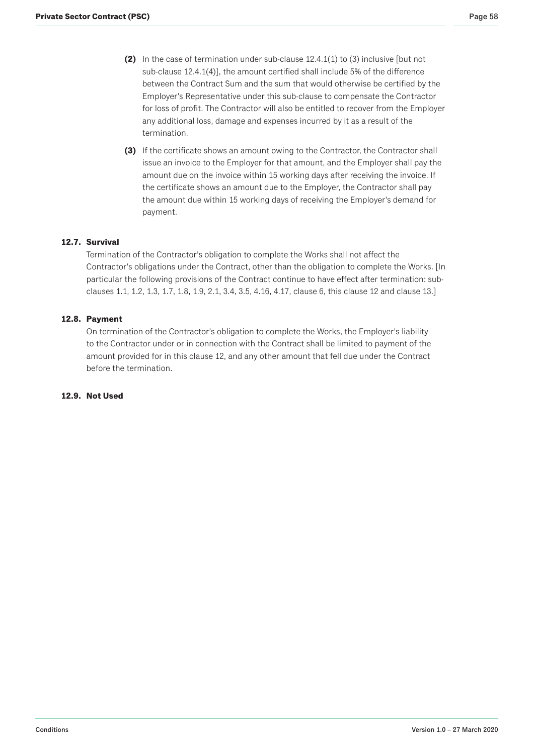- <span id="page-57-0"></span>**(2)** In the case of termination under sub-clause 12.4.1(1) to (3) inclusive [but not sub-clause 12.4.1(4)], the amount certified shall include 5% of the difference between the Contract Sum and the sum that would otherwise be certified by the Employer's Representative under this sub-clause to compensate the Contractor for loss of profit. The Contractor will also be entitled to recover from the Employer any additional loss, damage and expenses incurred by it as a result of the termination.
- **(3)** If the certificate shows an amount owing to the Contractor, the Contractor shall issue an invoice to the Employer for that amount, and the Employer shall pay the amount due on the invoice within 15 working days after receiving the invoice. If the certificate shows an amount due to the Employer, the Contractor shall pay the amount due within 15 working days of receiving the Employer's demand for payment.

# **12.7. Survival**

Termination of the Contractor's obligation to complete the Works shall not affect the Contractor's obligations under the Contract, other than the obligation to complete the Works. [In particular the following provisions of the Contract continue to have effect after termination: subclauses 1.1, 1.2, 1.3, 1.7, 1.8, 1.9, 2.1, 3.4, 3.5, 4.16, 4.17, clause 6, this clause 12 and clause 13.]

# **12.8. Payment**

On termination of the Contractor's obligation to complete the Works, the Employer's liability to the Contractor under or in connection with the Contract shall be limited to payment of the amount provided for in this clause 12, and any other amount that fell due under the Contract before the termination.

## **12.9. Not Used**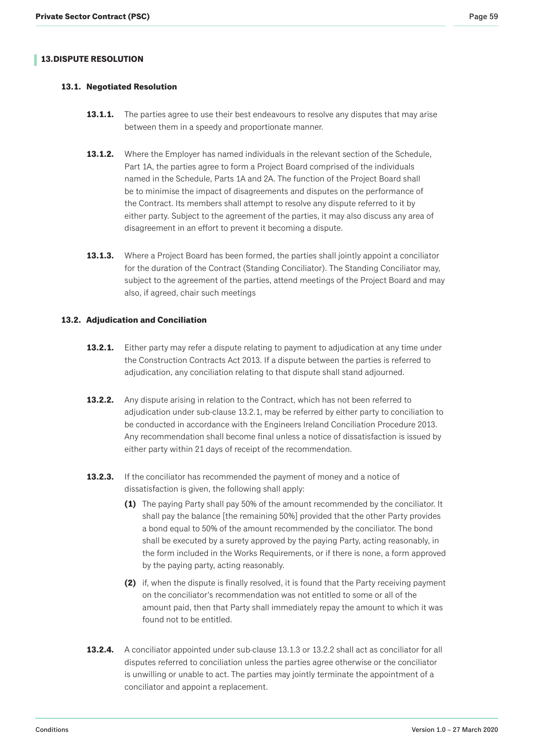# <span id="page-58-0"></span>**13. DISPUTE RESOLUTION**

# **13.1. Negotiated Resolution**

- **13.1.1.** The parties agree to use their best endeavours to resolve any disputes that may arise between them in a speedy and proportionate manner.
- **13.1.2.** Where the Employer has named individuals in the relevant section of the Schedule, Part 1A, the parties agree to form a Project Board comprised of the individuals named in the Schedule, Parts 1A and 2A. The function of the Project Board shall be to minimise the impact of disagreements and disputes on the performance of the Contract. Its members shall attempt to resolve any dispute referred to it by either party. Subject to the agreement of the parties, it may also discuss any area of disagreement in an effort to prevent it becoming a dispute.
- **13.1.3.** Where a Project Board has been formed, the parties shall jointly appoint a conciliator for the duration of the Contract (Standing Conciliator). The Standing Conciliator may, subject to the agreement of the parties, attend meetings of the Project Board and may also, if agreed, chair such meetings

# **13.2. Adjudication and Conciliation**

- **13.2.1.** Either party may refer a dispute relating to payment to adjudication at any time under the Construction Contracts Act 2013. If a dispute between the parties is referred to adjudication, any conciliation relating to that dispute shall stand adjourned.
- **13.2.2.** Any dispute arising in relation to the Contract, which has not been referred to adjudication under sub-clause 13.2.1, may be referred by either party to conciliation to be conducted in accordance with the Engineers Ireland Conciliation Procedure 2013. Any recommendation shall become final unless a notice of dissatisfaction is issued by either party within 21 days of receipt of the recommendation.
- **13.2.3.** If the conciliator has recommended the payment of money and a notice of dissatisfaction is given, the following shall apply:
	- **(1)** The paying Party shall pay 50% of the amount recommended by the conciliator. It shall pay the balance [the remaining 50%] provided that the other Party provides a bond equal to 50% of the amount recommended by the conciliator. The bond shall be executed by a surety approved by the paying Party, acting reasonably, in the form included in the Works Requirements, or if there is none, a form approved by the paying party, acting reasonably.
	- **(2)** if, when the dispute is finally resolved, it is found that the Party receiving payment on the conciliator's recommendation was not entitled to some or all of the amount paid, then that Party shall immediately repay the amount to which it was found not to be entitled.
- **13.2.4.** A conciliator appointed under sub-clause 13.1.3 or 13.2.2 shall act as conciliator for all disputes referred to conciliation unless the parties agree otherwise or the conciliator is unwilling or unable to act. The parties may jointly terminate the appointment of a conciliator and appoint a replacement.